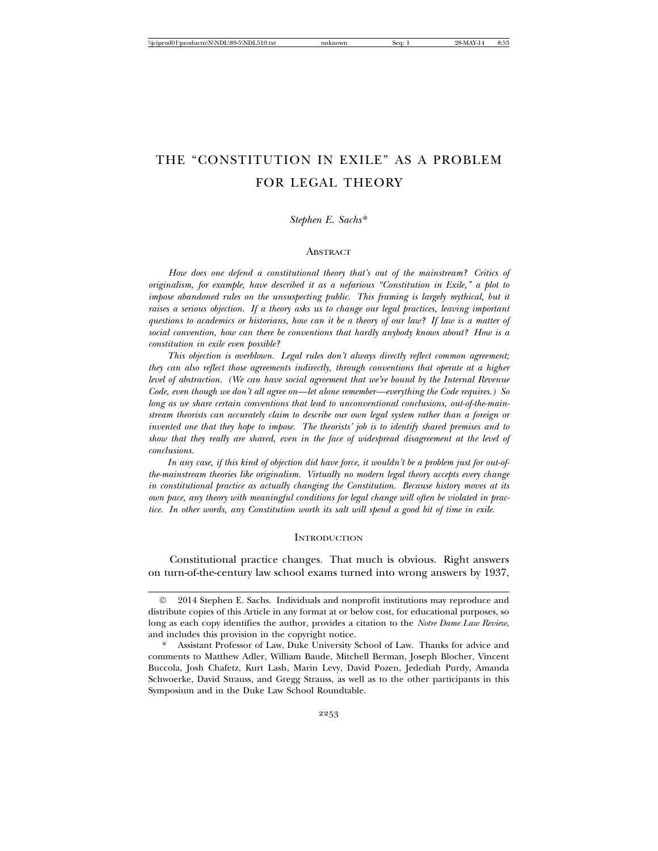# THE "CONSTITUTION IN EXILE" AS A PROBLEM FOR LEGAL THEORY

## *Stephen E. Sachs*\*

## **ABSTRACT**

*How does one defend a constitutional theory that's out of the mainstream? Critics of originalism, for example, have described it as a nefarious "Constitution in Exile," a plot to impose abandoned rules on the unsuspecting public. This framing is largely mythical, but it raises a serious objection. If a theory asks us to change our legal practices, leaving important questions to academics or historians, how can it be a theory of our law? If law is a matter of social convention, how can there be conventions that hardly anybody knows about? How is a constitution in exile even possible?*

*This objection is overblown. Legal rules don't always directly reflect common agreement; they can also reflect those agreements indirectly, through conventions that operate at a higher level of abstraction. (We can have social agreement that we're bound by the Internal Revenue Code, even though we don't all agree on—let alone remember—everything the Code requires.) So long as we share certain conventions that lead to unconventional conclusions, out-of-the-mainstream theorists can accurately claim to describe our own legal system rather than a foreign or invented one that they hope to impose. The theorists' job is to identify shared premises and to show that they really are shared, even in the face of widespread disagreement at the level of conclusions.*

*In any case, if this kind of objection did have force, it wouldn't be a problem just for out-ofthe-mainstream theories like originalism. Virtually no modern legal theory accepts every change in constitutional practice as actually changing the Constitution. Because history moves at its own pace, any theory with meaningful conditions for legal change will often be violated in practice. In other words, any Constitution worth its salt will spend a good bit of time in exile.*

#### **INTRODUCTION**

Constitutional practice changes. That much is obvious. Right answers on turn-of-the-century law school exams turned into wrong answers by 1937,

2014 Stephen E. Sachs. Individuals and nonprofit institutions may reproduce and distribute copies of this Article in any format at or below cost, for educational purposes, so long as each copy identifies the author, provides a citation to the *Notre Dame Law Review*, and includes this provision in the copyright notice.

Assistant Professor of Law, Duke University School of Law. Thanks for advice and comments to Matthew Adler, William Baude, Mitchell Berman, Joseph Blocher, Vincent Buccola, Josh Chafetz, Kurt Lash, Marin Levy, David Pozen, Jedediah Purdy, Amanda Schwoerke, David Strauss, and Gregg Strauss, as well as to the other participants in this Symposium and in the Duke Law School Roundtable.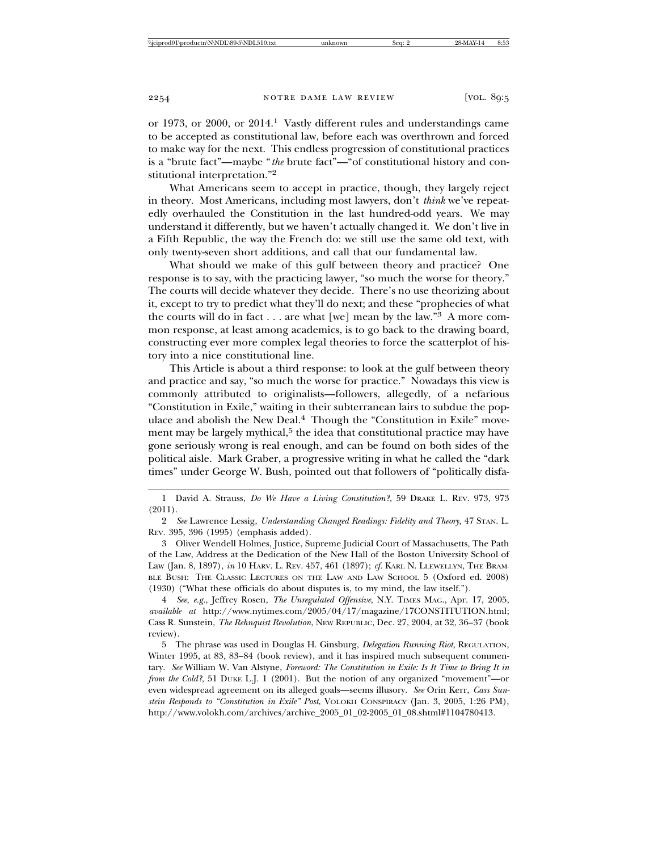or 1973, or 2000, or 2014.1 Vastly different rules and understandings came to be accepted as constitutional law, before each was overthrown and forced to make way for the next. This endless progression of constitutional practices is a "brute fact"—maybe "*the* brute fact"—"of constitutional history and constitutional interpretation."2

What Americans seem to accept in practice, though, they largely reject in theory. Most Americans, including most lawyers, don't *think* we've repeatedly overhauled the Constitution in the last hundred-odd years. We may understand it differently, but we haven't actually changed it. We don't live in a Fifth Republic, the way the French do: we still use the same old text, with only twenty-seven short additions, and call that our fundamental law.

What should we make of this gulf between theory and practice? One response is to say, with the practicing lawyer, "so much the worse for theory." The courts will decide whatever they decide. There's no use theorizing about it, except to try to predict what they'll do next; and these "prophecies of what the courts will do in fact  $\dots$  are what [we] mean by the law."<sup>3</sup> A more common response, at least among academics, is to go back to the drawing board, constructing ever more complex legal theories to force the scatterplot of history into a nice constitutional line.

This Article is about a third response: to look at the gulf between theory and practice and say, "so much the worse for practice." Nowadays this view is commonly attributed to originalists—followers, allegedly, of a nefarious "Constitution in Exile," waiting in their subterranean lairs to subdue the populace and abolish the New Deal.<sup>4</sup> Though the "Constitution in Exile" movement may be largely mythical, $5$  the idea that constitutional practice may have gone seriously wrong is real enough, and can be found on both sides of the political aisle. Mark Graber, a progressive writing in what he called the "dark times" under George W. Bush, pointed out that followers of "politically disfa-

1 David A. Strauss, *Do We Have a Living Constitution?*, 59 DRAKE L. REV. 973, 973 (2011).

2 *See* Lawrence Lessig, *Understanding Changed Readings: Fidelity and Theory*, 47 STAN. L. REV. 395, 396 (1995) (emphasis added).

3 Oliver Wendell Holmes, Justice, Supreme Judicial Court of Massachusetts, The Path of the Law, Address at the Dedication of the New Hall of the Boston University School of Law (Jan. 8, 1897), *in* 10 HARV. L. REV. 457, 461 (1897); *cf.* KARL N. LLEWELLYN, THE BRAM-BLE BUSH: THE CLASSIC LECTURES ON THE LAW AND LAW SCHOOL 5 (Oxford ed. 2008) (1930) ("What these officials do about disputes is, to my mind, the law itself.").

4 *See, e.g.*, Jeffrey Rosen, *The Unregulated Offensive*, N.Y. TIMES MAG., Apr. 17, 2005, *available at* http://www.nytimes.com/2005/04/17/magazine/17CONSTITUTION.html; Cass R. Sunstein, *The Rehnquist Revolution*, NEW REPUBLIC, Dec. 27, 2004, at 32, 36–37 (book review).

5 The phrase was used in Douglas H. Ginsburg, *Delegation Running Riot*, REGULATION, Winter 1995, at 83, 83–84 (book review), and it has inspired much subsequent commentary. *See* William W. Van Alstyne, *Foreword: The Constitution in Exile: Is It Time to Bring It in from the Cold?*, 51 DUKE L.J. 1 (2001). But the notion of any organized "movement"—or even widespread agreement on its alleged goals—seems illusory. *See* Orin Kerr, *Cass Sunstein Responds to "Constitution in Exile" Post*, VOLOKH CONSPIRACY (Jan. 3, 2005, 1:26 PM), http://www.volokh.com/archives/archive\_2005\_01\_02-2005\_01\_08.shtml#1104780413.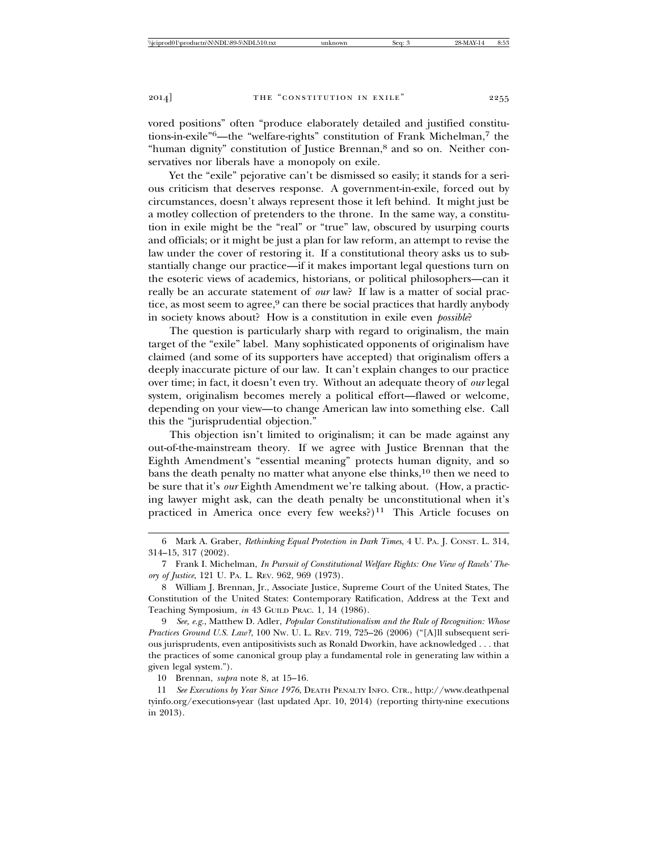vored positions" often "produce elaborately detailed and justified constitutions-in-exile"6—the "welfare-rights" constitution of Frank Michelman,7 the "human dignity" constitution of Justice Brennan,8 and so on. Neither conservatives nor liberals have a monopoly on exile.

Yet the "exile" pejorative can't be dismissed so easily; it stands for a serious criticism that deserves response. A government-in-exile, forced out by circumstances, doesn't always represent those it left behind. It might just be a motley collection of pretenders to the throne. In the same way, a constitution in exile might be the "real" or "true" law, obscured by usurping courts and officials; or it might be just a plan for law reform, an attempt to revise the law under the cover of restoring it. If a constitutional theory asks us to substantially change our practice—if it makes important legal questions turn on the esoteric views of academics, historians, or political philosophers—can it really be an accurate statement of *our* law? If law is a matter of social practice, as most seem to agree,<sup>9</sup> can there be social practices that hardly anybody in society knows about? How is a constitution in exile even *possible*?

The question is particularly sharp with regard to originalism, the main target of the "exile" label. Many sophisticated opponents of originalism have claimed (and some of its supporters have accepted) that originalism offers a deeply inaccurate picture of our law. It can't explain changes to our practice over time; in fact, it doesn't even try. Without an adequate theory of *our* legal system, originalism becomes merely a political effort—flawed or welcome, depending on your view—to change American law into something else. Call this the "jurisprudential objection."

This objection isn't limited to originalism; it can be made against any out-of-the-mainstream theory. If we agree with Justice Brennan that the Eighth Amendment's "essential meaning" protects human dignity, and so bans the death penalty no matter what anyone else thinks, $10$  then we need to be sure that it's *our* Eighth Amendment we're talking about. (How, a practicing lawyer might ask, can the death penalty be unconstitutional when it's practiced in America once every few weeks?)<sup>11</sup> This Article focuses on

9 *See, e.g.*, Matthew D. Adler, *Popular Constitutionalism and the Rule of Recognition: Whose Practices Ground U.S. Law?,* 100 Nw. U. L. REV. 719, 725–26 (2006) ("[A]ll subsequent serious jurisprudents, even antipositivists such as Ronald Dworkin, have acknowledged . . . that the practices of some canonical group play a fundamental role in generating law within a given legal system.").

10 Brennan, *supra* note 8, at 15–16.

11 *See Executions by Year Since 1976*, DEATH PENALTY INFO. CTR., http://www.deathpenal tyinfo.org/executions-year (last updated Apr. 10, 2014) (reporting thirty-nine executions in 2013).

<sup>6</sup> Mark A. Graber, *Rethinking Equal Protection in Dark Times*, 4 U. PA. J. CONST. L. 314, 314–15, 317 (2002).

<sup>7</sup> Frank I. Michelman, *In Pursuit of Constitutional Welfare Rights: One View of Rawls' Theory of Justice*, 121 U. PA. L. REV. 962, 969 (1973).

<sup>8</sup> William J. Brennan, Jr., Associate Justice, Supreme Court of the United States, The Constitution of the United States: Contemporary Ratification, Address at the Text and Teaching Symposium, *in* 43 GUILD PRAC. 1, 14 (1986).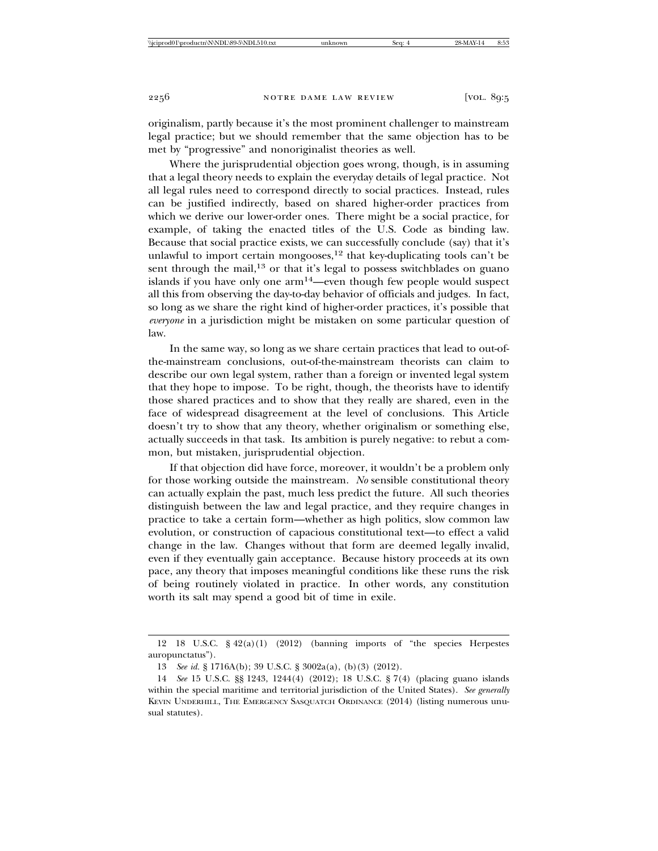originalism, partly because it's the most prominent challenger to mainstream legal practice; but we should remember that the same objection has to be met by "progressive" and nonoriginalist theories as well.

Where the jurisprudential objection goes wrong, though, is in assuming that a legal theory needs to explain the everyday details of legal practice. Not all legal rules need to correspond directly to social practices. Instead, rules can be justified indirectly, based on shared higher-order practices from which we derive our lower-order ones. There might be a social practice, for example, of taking the enacted titles of the U.S. Code as binding law. Because that social practice exists, we can successfully conclude (say) that it's unlawful to import certain mongooses,<sup>12</sup> that key-duplicating tools can't be sent through the mail,<sup>13</sup> or that it's legal to possess switchblades on guano islands if you have only one arm14—even though few people would suspect all this from observing the day-to-day behavior of officials and judges. In fact, so long as we share the right kind of higher-order practices, it's possible that *everyone* in a jurisdiction might be mistaken on some particular question of law.

In the same way, so long as we share certain practices that lead to out-ofthe-mainstream conclusions, out-of-the-mainstream theorists can claim to describe our own legal system, rather than a foreign or invented legal system that they hope to impose. To be right, though, the theorists have to identify those shared practices and to show that they really are shared, even in the face of widespread disagreement at the level of conclusions. This Article doesn't try to show that any theory, whether originalism or something else, actually succeeds in that task. Its ambition is purely negative: to rebut a common, but mistaken, jurisprudential objection.

If that objection did have force, moreover, it wouldn't be a problem only for those working outside the mainstream. *No* sensible constitutional theory can actually explain the past, much less predict the future. All such theories distinguish between the law and legal practice, and they require changes in practice to take a certain form—whether as high politics, slow common law evolution, or construction of capacious constitutional text—to effect a valid change in the law. Changes without that form are deemed legally invalid, even if they eventually gain acceptance. Because history proceeds at its own pace, any theory that imposes meaningful conditions like these runs the risk of being routinely violated in practice. In other words, any constitution worth its salt may spend a good bit of time in exile.

<sup>12 18</sup> U.S.C. § 42(a)(1) (2012) (banning imports of "the species Herpestes auropunctatus").

<sup>13</sup> *See id.* § 1716A(b); 39 U.S.C. § 3002a(a), (b)(3) (2012).

<sup>14</sup> *See* 15 U.S.C. §§ 1243, 1244(4) (2012); 18 U.S.C. § 7(4) (placing guano islands within the special maritime and territorial jurisdiction of the United States). *See generally* KEVIN UNDERHILL, THE EMERGENCY SASQUATCH ORDINANCE (2014) (listing numerous unusual statutes).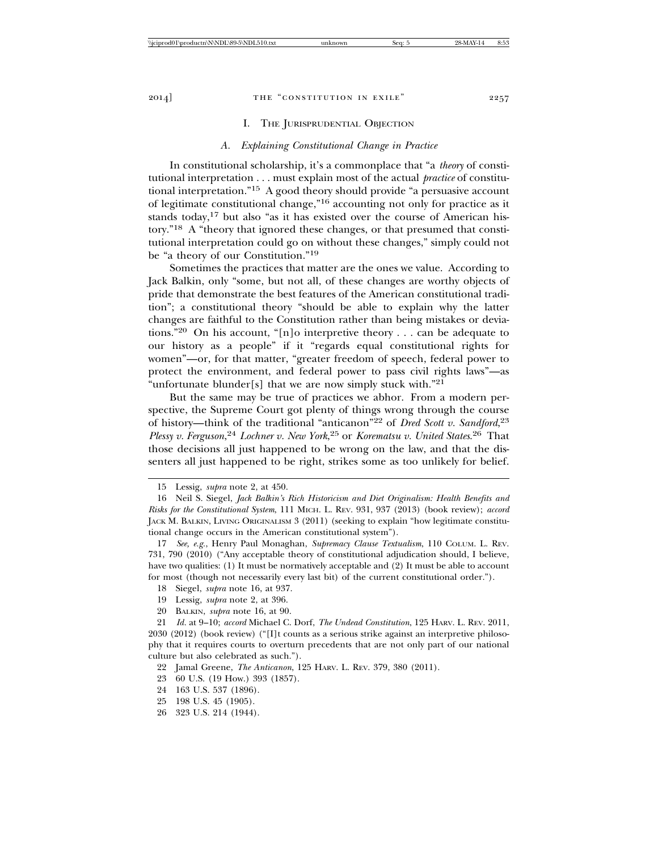## I. THE JURISPRUDENTIAL OBJECTION

#### *A. Explaining Constitutional Change in Practice*

In constitutional scholarship, it's a commonplace that "a *theory* of constitutional interpretation . . . must explain most of the actual *practice* of constitutional interpretation."15 A good theory should provide "a persuasive account of legitimate constitutional change,"16 accounting not only for practice as it stands today, $17$  but also "as it has existed over the course of American history."18 A "theory that ignored these changes, or that presumed that constitutional interpretation could go on without these changes," simply could not be "a theory of our Constitution."19

Sometimes the practices that matter are the ones we value. According to Jack Balkin, only "some, but not all, of these changes are worthy objects of pride that demonstrate the best features of the American constitutional tradition"; a constitutional theory "should be able to explain why the latter changes are faithful to the Constitution rather than being mistakes or deviations."20 On his account, "[n]o interpretive theory . . . can be adequate to our history as a people" if it "regards equal constitutional rights for women"—or, for that matter, "greater freedom of speech, federal power to protect the environment, and federal power to pass civil rights laws"—as "unfortunate blunder[s] that we are now simply stuck with."21

But the same may be true of practices we abhor. From a modern perspective, the Supreme Court got plenty of things wrong through the course of history—think of the traditional "anticanon"22 of *Dred Scott v. Sandford*, 23 *Plessy v. Ferguson*, <sup>24</sup> *Lochner v. New York*, 25 or *Korematsu v. United States*. 26 That those decisions all just happened to be wrong on the law, and that the dissenters all just happened to be right, strikes some as too unlikely for belief.

- 18 Siegel, *supra* note 16, at 937.
- 19 Lessig, *supra* note 2, at 396.
- 20 BALKIN, *supra* note 16, at 90.

- 23 60 U.S. (19 How.) 393 (1857).
- 24 163 U.S. 537 (1896).
- 25 198 U.S. 45 (1905).
- 26 323 U.S. 214 (1944).

<sup>15</sup> Lessig, *supra* note 2, at 450.

<sup>16</sup> Neil S. Siegel, *Jack Balkin's Rich Historicism and Diet Originalism: Health Benefits and Risks for the Constitutional System*, 111 MICH. L. REV. 931, 937 (2013) (book review); *accord* JACK M. BALKIN, LIVING ORIGINALISM 3 (2011) (seeking to explain "how legitimate constitutional change occurs in the American constitutional system").

<sup>17</sup> *See, e.g.*, Henry Paul Monaghan, *Supremacy Clause Textualism*, 110 COLUM. L. REV. 731, 790 (2010) ("Any acceptable theory of constitutional adjudication should, I believe, have two qualities: (1) It must be normatively acceptable and (2) It must be able to account for most (though not necessarily every last bit) of the current constitutional order.").

<sup>21</sup> *Id.* at 9–10; *accord* Michael C. Dorf, *The Undead Constitution*, 125 HARV. L. REV. 2011, 2030 (2012) (book review) ("[I]t counts as a serious strike against an interpretive philosophy that it requires courts to overturn precedents that are not only part of our national culture but also celebrated as such.").

<sup>22</sup> Jamal Greene, *The Anticanon*, 125 HARV. L. REV. 379, 380 (2011).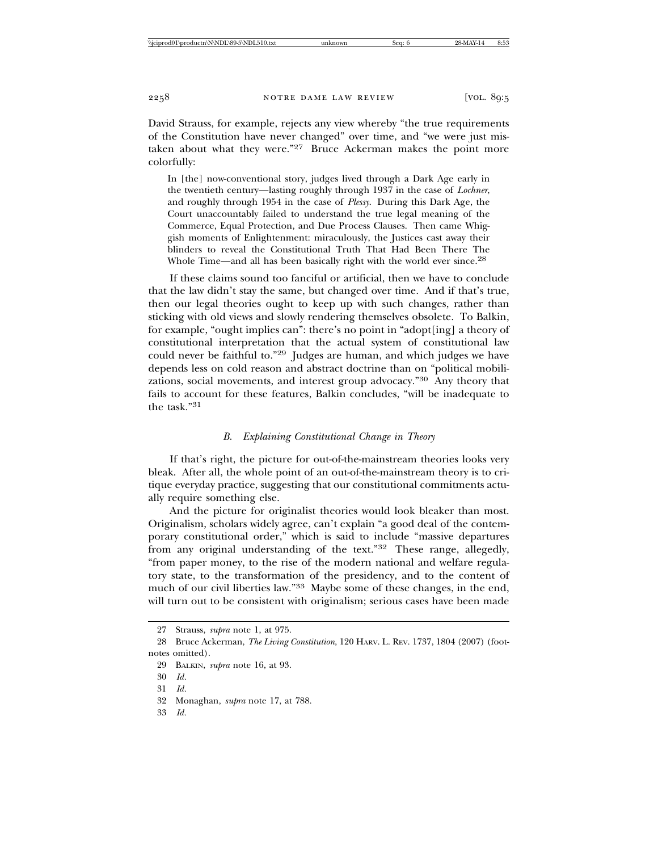David Strauss, for example, rejects any view whereby "the true requirements of the Constitution have never changed" over time, and "we were just mistaken about what they were."<sup>27</sup> Bruce Ackerman makes the point more colorfully:

In [the] now-conventional story, judges lived through a Dark Age early in the twentieth century—lasting roughly through 1937 in the case of *Lochner*, and roughly through 1954 in the case of *Plessy*. During this Dark Age, the Court unaccountably failed to understand the true legal meaning of the Commerce, Equal Protection, and Due Process Clauses. Then came Whiggish moments of Enlightenment: miraculously, the Justices cast away their blinders to reveal the Constitutional Truth That Had Been There The Whole Time—and all has been basically right with the world ever since.<sup>28</sup>

If these claims sound too fanciful or artificial, then we have to conclude that the law didn't stay the same, but changed over time. And if that's true, then our legal theories ought to keep up with such changes, rather than sticking with old views and slowly rendering themselves obsolete. To Balkin, for example, "ought implies can": there's no point in "adopt[ing] a theory of constitutional interpretation that the actual system of constitutional law could never be faithful to."29 Judges are human, and which judges we have depends less on cold reason and abstract doctrine than on "political mobilizations, social movements, and interest group advocacy."30 Any theory that fails to account for these features, Balkin concludes, "will be inadequate to the task."31

## *B. Explaining Constitutional Change in Theory*

If that's right, the picture for out-of-the-mainstream theories looks very bleak. After all, the whole point of an out-of-the-mainstream theory is to critique everyday practice, suggesting that our constitutional commitments actually require something else.

And the picture for originalist theories would look bleaker than most. Originalism, scholars widely agree, can't explain "a good deal of the contemporary constitutional order," which is said to include "massive departures from any original understanding of the text."32 These range, allegedly, "from paper money, to the rise of the modern national and welfare regulatory state, to the transformation of the presidency, and to the content of much of our civil liberties law."33 Maybe some of these changes, in the end, will turn out to be consistent with originalism; serious cases have been made

33 *Id.*

<sup>27</sup> Strauss, *supra* note 1, at 975.

<sup>28</sup> Bruce Ackerman, *The Living Constitution*, 120 HARV. L. REV. 1737, 1804 (2007) (footnotes omitted).

<sup>29</sup> BALKIN, *supra* note 16, at 93.

<sup>30</sup> *Id.*

<sup>31</sup> *Id.*

<sup>32</sup> Monaghan, *supra* note 17, at 788.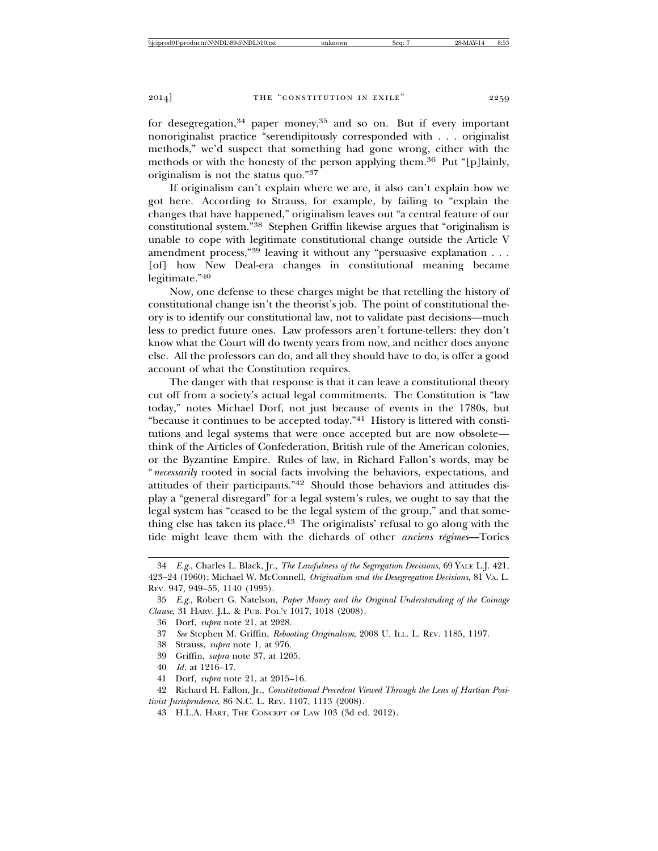for desegregation,<sup>34</sup> paper money,<sup>35</sup> and so on. But if every important nonoriginalist practice "serendipitously corresponded with . . . originalist methods," we'd suspect that something had gone wrong, either with the methods or with the honesty of the person applying them.36 Put "[p]lainly, originalism is not the status quo."37

If originalism can't explain where we are, it also can't explain how we got here. According to Strauss, for example, by failing to "explain the changes that have happened," originalism leaves out "a central feature of our constitutional system."38 Stephen Griffin likewise argues that "originalism is unable to cope with legitimate constitutional change outside the Article V amendment process,"<sup>39</sup> leaving it without any "persuasive explanation . . . [of] how New Deal-era changes in constitutional meaning became legitimate."<sup>40</sup>

Now, one defense to these charges might be that retelling the history of constitutional change isn't the theorist's job. The point of constitutional theory is to identify our constitutional law, not to validate past decisions—much less to predict future ones. Law professors aren't fortune-tellers: they don't know what the Court will do twenty years from now, and neither does anyone else. All the professors can do, and all they should have to do, is offer a good account of what the Constitution requires.

The danger with that response is that it can leave a constitutional theory cut off from a society's actual legal commitments. The Constitution is "law today," notes Michael Dorf, not just because of events in the 1780s, but "because it continues to be accepted today."41 History is littered with constitutions and legal systems that were once accepted but are now obsolete think of the Articles of Confederation, British rule of the American colonies, or the Byzantine Empire. Rules of law, in Richard Fallon's words, may be "*necessarily* rooted in social facts involving the behaviors, expectations, and attitudes of their participants."42 Should those behaviors and attitudes display a "general disregard" for a legal system's rules, we ought to say that the legal system has "ceased to be the legal system of the group," and that something else has taken its place.43 The originalists' refusal to go along with the tide might leave them with the diehards of other *anciens régimes*—Tories

- 38 Strauss, *supra* note 1, at 976.
- 39 Griffin, *supra* note 37, at 1205.

41 Dorf, *supra* note 21, at 2015–16.

<sup>34</sup> *E.g.*, Charles L. Black, Jr., *The Lawfulness of the Segregation Decisions*, 69 YALE L.J. 421, 423–24 (1960); Michael W. McConnell, *Originalism and the Desegregation Decisions*, 81 VA. L. REV. 947, 949–55, 1140 (1995).

<sup>35</sup> *E.g.*, Robert G. Natelson, *Paper Money and the Original Understanding of the Coinage Clause*, 31 HARV. J.L. & PUB. POL'Y 1017, 1018 (2008).

<sup>36</sup> Dorf, *supra* note 21, at 2028.

<sup>37</sup> *See* Stephen M. Griffin, *Rebooting Originalism*, 2008 U. ILL. L. REV. 1185, 1197.

<sup>40</sup> *Id.* at 1216–17.

<sup>42</sup> Richard H. Fallon, Jr., *Constitutional Precedent Viewed Through the Lens of Hartian Positivist Jurisprudence*, 86 N.C. L. REV. 1107, 1113 (2008).

<sup>43</sup> H.L.A. HART, THE CONCEPT OF LAW 103 (3d ed. 2012).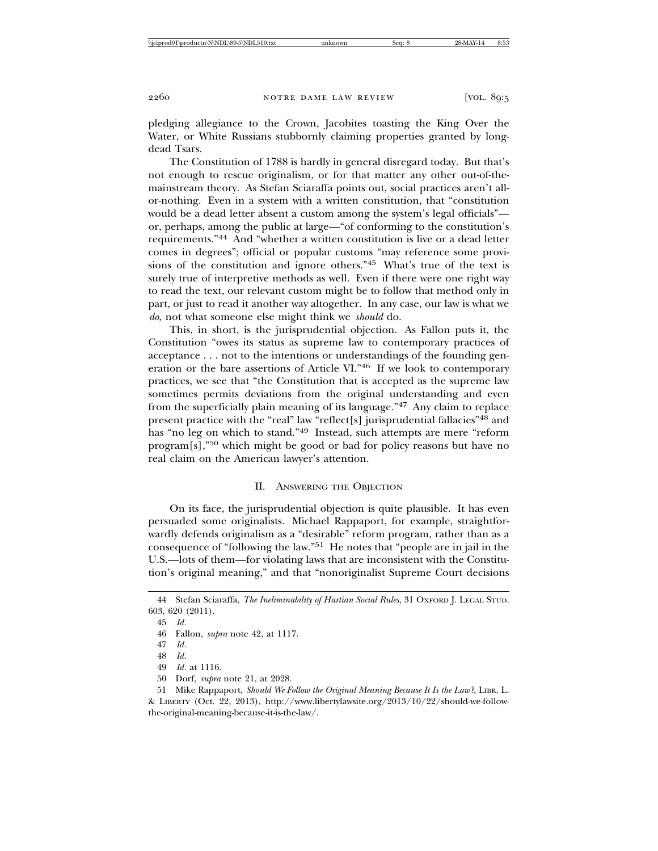pledging allegiance to the Crown, Jacobites toasting the King Over the Water, or White Russians stubbornly claiming properties granted by longdead Tsars.

The Constitution of 1788 is hardly in general disregard today. But that's not enough to rescue originalism, or for that matter any other out-of-themainstream theory. As Stefan Sciaraffa points out, social practices aren't allor-nothing. Even in a system with a written constitution, that "constitution would be a dead letter absent a custom among the system's legal officials" or, perhaps, among the public at large—"of conforming to the constitution's requirements."44 And "whether a written constitution is live or a dead letter comes in degrees"; official or popular customs "may reference some provisions of the constitution and ignore others."45 What's true of the text is surely true of interpretive methods as well. Even if there were one right way to read the text, our relevant custom might be to follow that method only in part, or just to read it another way altogether. In any case, our law is what we *do*, not what someone else might think we *should* do.

This, in short, is the jurisprudential objection. As Fallon puts it, the Constitution "owes its status as supreme law to contemporary practices of acceptance . . . not to the intentions or understandings of the founding generation or the bare assertions of Article VI."46 If we look to contemporary practices, we see that "the Constitution that is accepted as the supreme law sometimes permits deviations from the original understanding and even from the superficially plain meaning of its language."47 Any claim to replace present practice with the "real" law "reflect[s] jurisprudential fallacies"<sup>48</sup> and has "no leg on which to stand."49 Instead, such attempts are mere "reform program[s],"50 which might be good or bad for policy reasons but have no real claim on the American lawyer's attention.

## II. ANSWERING THE OBJECTION

On its face, the jurisprudential objection is quite plausible. It has even persuaded some originalists. Michael Rappaport, for example, straightforwardly defends originalism as a "desirable" reform program, rather than as a consequence of "following the law."51 He notes that "people are in jail in the U.S.—lots of them—for violating laws that are inconsistent with the Constitution's original meaning," and that "nonoriginalist Supreme Court decisions

<sup>44</sup> Stefan Sciaraffa, *The Ineliminability of Hartian Social Rules*, 31 OXFORD J. LEGAL STUD. 603, 620 (2011).

<sup>45</sup> *Id.*

<sup>46</sup> Fallon, *supra* note 42, at 1117.

<sup>47</sup> *Id.*

<sup>48</sup> *Id.*

<sup>49</sup> *Id.* at 1116.

<sup>50</sup> Dorf, *supra* note 21, at 2028.

<sup>51</sup> Mike Rappaport, *Should We Follow the Original Meaning Because It Is the Law?*, LIBR. L. & LIBERTY (Oct. 22, 2013), http://www.libertylawsite.org/2013/10/22/should-we-followthe-original-meaning-because-it-is-the-law/.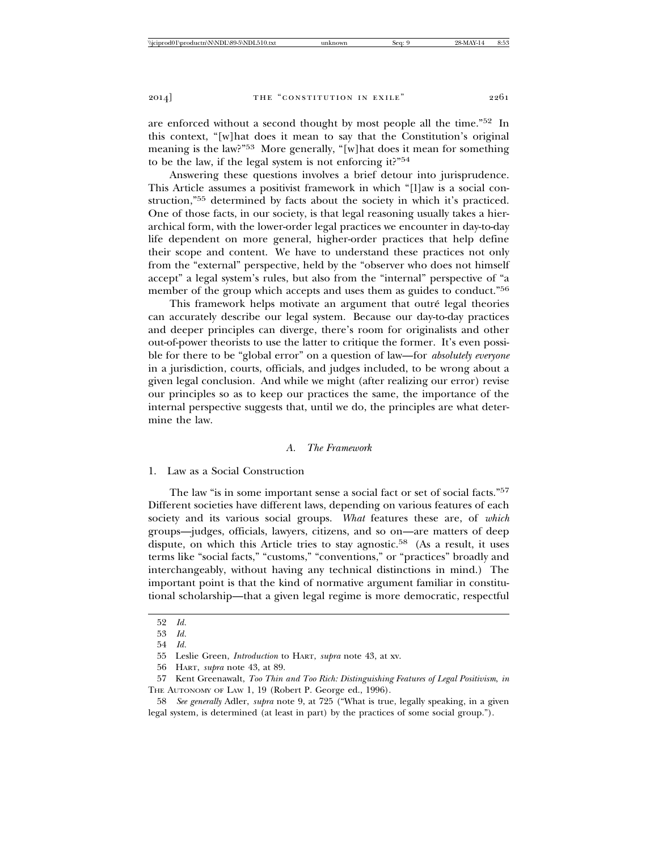are enforced without a second thought by most people all the time."52 In this context, "[w]hat does it mean to say that the Constitution's original meaning is the law?"53 More generally, "[w]hat does it mean for something to be the law, if the legal system is not enforcing it?"54

Answering these questions involves a brief detour into jurisprudence. This Article assumes a positivist framework in which "[l]aw is a social construction,"55 determined by facts about the society in which it's practiced. One of those facts, in our society, is that legal reasoning usually takes a hierarchical form, with the lower-order legal practices we encounter in day-to-day life dependent on more general, higher-order practices that help define their scope and content. We have to understand these practices not only from the "external" perspective, held by the "observer who does not himself accept" a legal system's rules, but also from the "internal" perspective of "a member of the group which accepts and uses them as guides to conduct."56

This framework helps motivate an argument that outré legal theories can accurately describe our legal system. Because our day-to-day practices and deeper principles can diverge, there's room for originalists and other out-of-power theorists to use the latter to critique the former. It's even possible for there to be "global error" on a question of law—for *absolutely everyone* in a jurisdiction, courts, officials, and judges included, to be wrong about a given legal conclusion. And while we might (after realizing our error) revise our principles so as to keep our practices the same, the importance of the internal perspective suggests that, until we do, the principles are what determine the law.

## *A. The Framework*

#### 1. Law as a Social Construction

The law "is in some important sense a social fact or set of social facts."<sup>57</sup> Different societies have different laws, depending on various features of each society and its various social groups. *What* features these are, of *which* groups—judges, officials, lawyers, citizens, and so on—are matters of deep dispute, on which this Article tries to stay agnostic.58 (As a result, it uses terms like "social facts," "customs," "conventions," or "practices" broadly and interchangeably, without having any technical distinctions in mind.) The important point is that the kind of normative argument familiar in constitutional scholarship—that a given legal regime is more democratic, respectful

<sup>52</sup> *Id.*

<sup>53</sup> *Id.*

<sup>54</sup> *Id.*

<sup>55</sup> Leslie Green, *Introduction* to HART, *supra* note 43, at xv.

<sup>56</sup> HART, *supra* note 43, at 89.

<sup>57</sup> Kent Greenawalt, *Too Thin and Too Rich: Distinguishing Features of Legal Positivism*, *in* THE AUTONOMY OF LAW 1, 19 (Robert P. George ed., 1996).

<sup>58</sup> *See generally* Adler, *supra* note 9, at 725 ("What is true, legally speaking, in a given legal system, is determined (at least in part) by the practices of some social group.").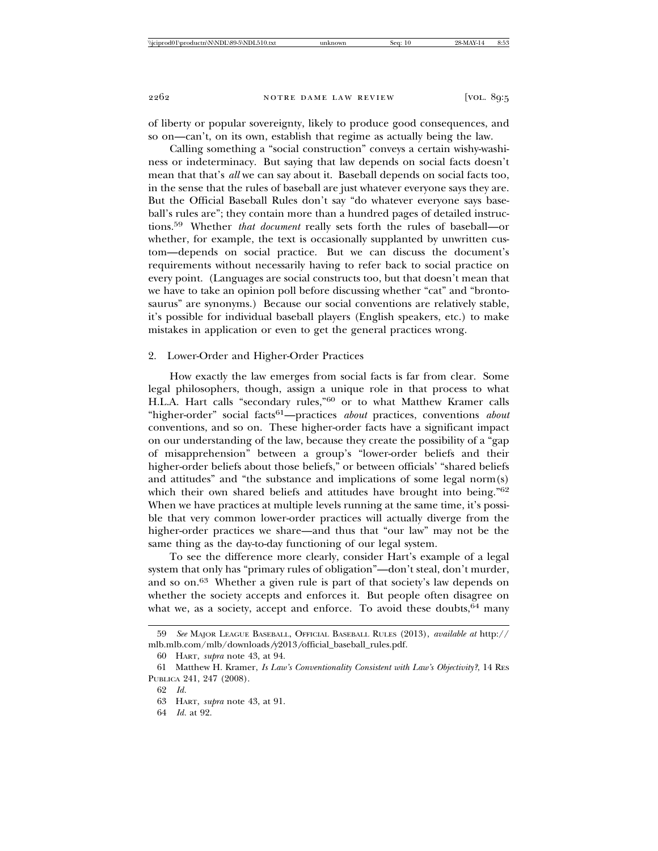of liberty or popular sovereignty, likely to produce good consequences, and so on—can't, on its own, establish that regime as actually being the law.

Calling something a "social construction" conveys a certain wishy-washiness or indeterminacy. But saying that law depends on social facts doesn't mean that that's *all* we can say about it. Baseball depends on social facts too, in the sense that the rules of baseball are just whatever everyone says they are. But the Official Baseball Rules don't say "do whatever everyone says baseball's rules are"; they contain more than a hundred pages of detailed instructions.59 Whether *that document* really sets forth the rules of baseball—or whether, for example, the text is occasionally supplanted by unwritten custom—depends on social practice. But we can discuss the document's requirements without necessarily having to refer back to social practice on every point. (Languages are social constructs too, but that doesn't mean that we have to take an opinion poll before discussing whether "cat" and "brontosaurus" are synonyms.) Because our social conventions are relatively stable, it's possible for individual baseball players (English speakers, etc.) to make mistakes in application or even to get the general practices wrong.

# 2. Lower-Order and Higher-Order Practices

How exactly the law emerges from social facts is far from clear. Some legal philosophers, though, assign a unique role in that process to what H.L.A. Hart calls "secondary rules,"60 or to what Matthew Kramer calls "higher-order" social facts<sup>61</sup>—practices *about* practices, conventions *about* conventions, and so on. These higher-order facts have a significant impact on our understanding of the law, because they create the possibility of a "gap of misapprehension" between a group's "lower-order beliefs and their higher-order beliefs about those beliefs," or between officials' "shared beliefs and attitudes" and "the substance and implications of some legal norm(s) which their own shared beliefs and attitudes have brought into being."<sup>62</sup> When we have practices at multiple levels running at the same time, it's possible that very common lower-order practices will actually diverge from the higher-order practices we share—and thus that "our law" may not be the same thing as the day-to-day functioning of our legal system.

To see the difference more clearly, consider Hart's example of a legal system that only has "primary rules of obligation"—don't steal, don't murder, and so on.63 Whether a given rule is part of that society's law depends on whether the society accepts and enforces it. But people often disagree on what we, as a society, accept and enforce. To avoid these doubts, <sup>64</sup> many

<sup>59</sup> *See* MAJOR LEAGUE BASEBALL, OFFICIAL BASEBALL RULES (2013), *available at* http:// mlb.mlb.com/mlb/downloads*/*y2013*/*official\_baseball\_rules.pdf.

<sup>60</sup> HART, *supra* note 43, at 94.

<sup>61</sup> Matthew H. Kramer, *Is Law's Conventionality Consistent with Law's Objectivity?*, 14 RES PUBLICA 241, 247 (2008).

<sup>62</sup> *Id.*

<sup>63</sup> HART, *supra* note 43, at 91.

<sup>64</sup> *Id.* at 92.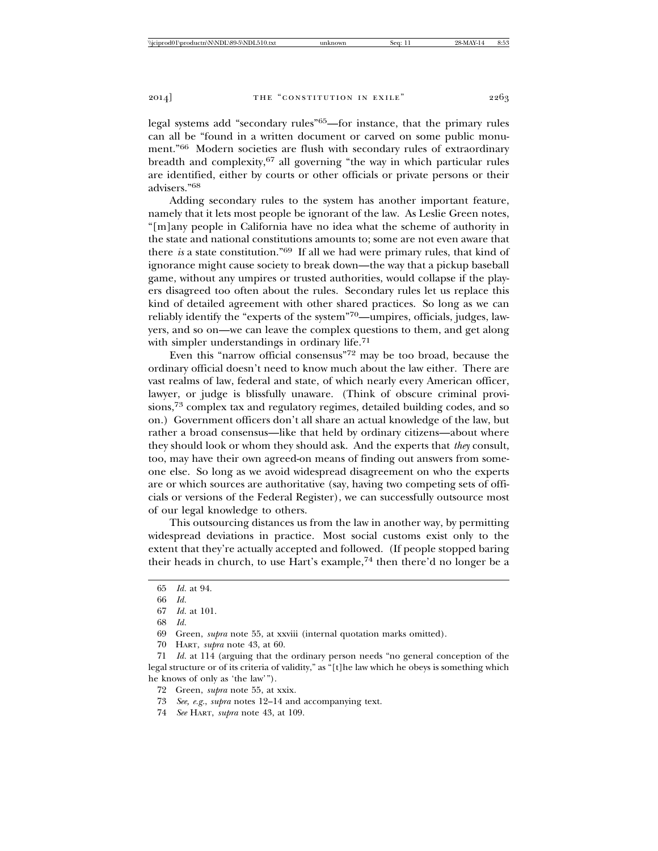legal systems add "secondary rules"65—for instance, that the primary rules can all be "found in a written document or carved on some public monument."66 Modern societies are flush with secondary rules of extraordinary breadth and complexity,67 all governing "the way in which particular rules are identified, either by courts or other officials or private persons or their advisers."<sup>68</sup>

Adding secondary rules to the system has another important feature, namely that it lets most people be ignorant of the law. As Leslie Green notes, "[m]any people in California have no idea what the scheme of authority in the state and national constitutions amounts to; some are not even aware that there *is* a state constitution."69 If all we had were primary rules, that kind of ignorance might cause society to break down—the way that a pickup baseball game, without any umpires or trusted authorities, would collapse if the players disagreed too often about the rules. Secondary rules let us replace this kind of detailed agreement with other shared practices. So long as we can reliably identify the "experts of the system"70—umpires, officials, judges, lawyers, and so on—we can leave the complex questions to them, and get along with simpler understandings in ordinary life.<sup>71</sup>

Even this "narrow official consensus"72 may be too broad, because the ordinary official doesn't need to know much about the law either. There are vast realms of law, federal and state, of which nearly every American officer, lawyer, or judge is blissfully unaware. (Think of obscure criminal provisions,73 complex tax and regulatory regimes, detailed building codes, and so on.) Government officers don't all share an actual knowledge of the law, but rather a broad consensus—like that held by ordinary citizens—about where they should look or whom they should ask. And the experts that *they* consult, too, may have their own agreed-on means of finding out answers from someone else. So long as we avoid widespread disagreement on who the experts are or which sources are authoritative (say, having two competing sets of officials or versions of the Federal Register), we can successfully outsource most of our legal knowledge to others.

This outsourcing distances us from the law in another way, by permitting widespread deviations in practice. Most social customs exist only to the extent that they're actually accepted and followed. (If people stopped baring their heads in church, to use Hart's example,<sup>74</sup> then there'd no longer be a

71 *Id.* at 114 (arguing that the ordinary person needs "no general conception of the legal structure or of its criteria of validity," as "[t]he law which he obeys is something which he knows of only as 'the law'").

<sup>65</sup> *Id.* at 94.

<sup>66</sup> *Id.*

<sup>67</sup> *Id.* at 101.

<sup>68</sup> *Id.*

<sup>69</sup> Green, *supra* note 55, at xxviii (internal quotation marks omitted).

<sup>70</sup> HART, *supra* note 43, at 60.

<sup>72</sup> Green, *supra* note 55, at xxix.

<sup>73</sup> *See, e.g.*, *supra* notes 12–14 and accompanying text.

<sup>74</sup> *See* HART, *supra* note 43, at 109.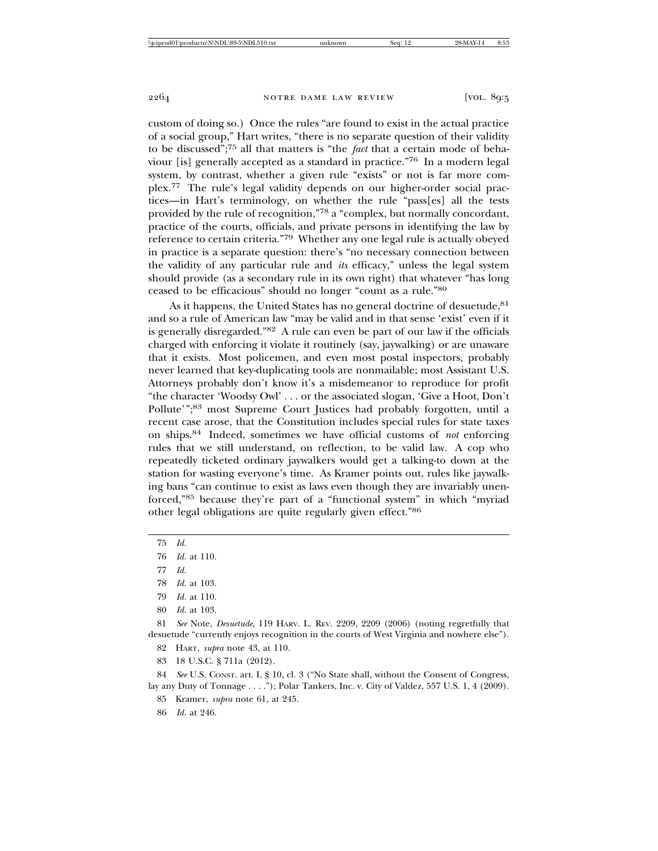custom of doing so.) Once the rules "are found to exist in the actual practice of a social group," Hart writes, "there is no separate question of their validity to be discussed";75 all that matters is "the *fact* that a certain mode of behaviour [is] generally accepted as a standard in practice."76 In a modern legal system, by contrast, whether a given rule "exists" or not is far more complex.77 The rule's legal validity depends on our higher-order social practices—in Hart's terminology, on whether the rule "pass[es] all the tests provided by the rule of recognition,"78 a "complex, but normally concordant, practice of the courts, officials, and private persons in identifying the law by reference to certain criteria."79 Whether any one legal rule is actually obeyed in practice is a separate question: there's "no necessary connection between the validity of any particular rule and *its* efficacy," unless the legal system should provide (as a secondary rule in its own right) that whatever "has long ceased to be efficacious" should no longer "count as a rule."80

As it happens, the United States has no general doctrine of desuetude, <sup>81</sup> and so a rule of American law "may be valid and in that sense 'exist' even if it is generally disregarded."82 A rule can even be part of our law if the officials charged with enforcing it violate it routinely (say, jaywalking) or are unaware that it exists. Most policemen, and even most postal inspectors, probably never learned that key-duplicating tools are nonmailable; most Assistant U.S. Attorneys probably don't know it's a misdemeanor to reproduce for profit "the character 'Woodsy Owl' . . . or the associated slogan, 'Give a Hoot, Don't Pollute'";<sup>83</sup> most Supreme Court Justices had probably forgotten, until a recent case arose, that the Constitution includes special rules for state taxes on ships.84 Indeed, sometimes we have official customs of *not* enforcing rules that we still understand, on reflection, to be valid law. A cop who repeatedly ticketed ordinary jaywalkers would get a talking-to down at the station for wasting everyone's time. As Kramer points out, rules like jaywalking bans "can continue to exist as laws even though they are invariably unenforced,"85 because they're part of a "functional system" in which "myriad other legal obligations are quite regularly given effect."86

- 78 *Id.* at 103.
- 79 *Id.* at 110.
- 80 *Id.* at 103.

81 *See* Note, *Desuetude*, 119 HARV. L. REV. 2209, 2209 (2006) (noting regretfully that desuetude "currently enjoys recognition in the courts of West Virginia and nowhere else").

82 HART, *supra* note 43, at 110.

83 18 U.S.C. § 711a (2012).

84 *See* U.S. CONST. art. I, § 10, cl. 3 ("No State shall, without the Consent of Congress, lay any Duty of Tonnage . . . ."); Polar Tankers, Inc. v. City of Valdez, 557 U.S. 1, 4 (2009).

85 Kramer, *supra* note 61, at 245.

86 *Id.* at 246.

<sup>75</sup> *Id.*

<sup>76</sup> *Id.* at 110.

<sup>77</sup> *Id.*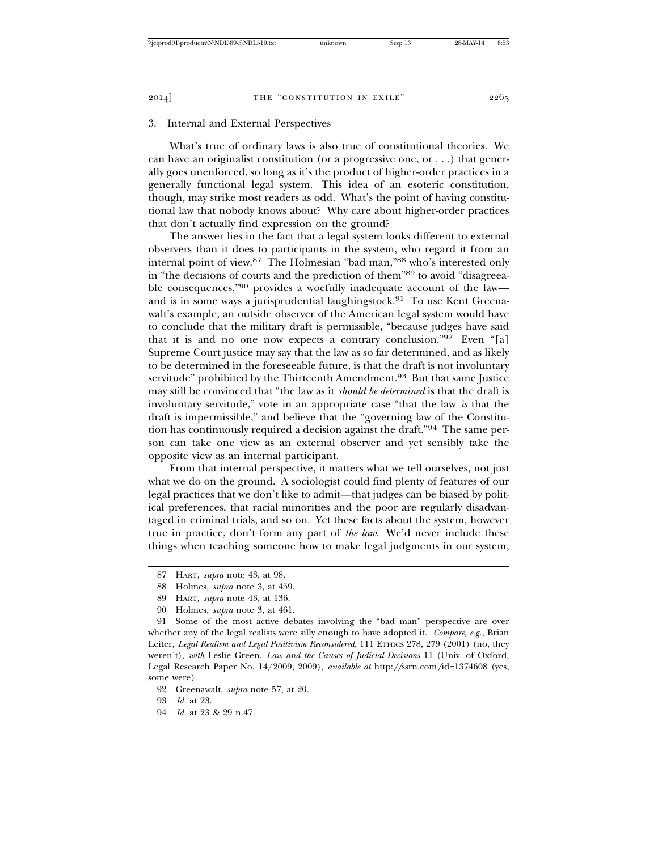#### 3. Internal and External Perspectives

What's true of ordinary laws is also true of constitutional theories. We can have an originalist constitution (or a progressive one, or . . .) that generally goes unenforced, so long as it's the product of higher-order practices in a generally functional legal system. This idea of an esoteric constitution, though, may strike most readers as odd. What's the point of having constitutional law that nobody knows about? Why care about higher-order practices that don't actually find expression on the ground?

The answer lies in the fact that a legal system looks different to external observers than it does to participants in the system, who regard it from an internal point of view.87 The Holmesian "bad man,"88 who's interested only in "the decisions of courts and the prediction of them"89 to avoid "disagreeable consequences,"90 provides a woefully inadequate account of the law and is in some ways a jurisprudential laughingstock.<sup>91</sup> To use Kent Greenawalt's example, an outside observer of the American legal system would have to conclude that the military draft is permissible, "because judges have said that it is and no one now expects a contrary conclusion."92 Even "[a] Supreme Court justice may say that the law as so far determined, and as likely to be determined in the foreseeable future, is that the draft is not involuntary servitude" prohibited by the Thirteenth Amendment.<sup>93</sup> But that same Justice may still be convinced that "the law as it *should be determined* is that the draft is involuntary servitude," vote in an appropriate case "that the law *is* that the draft is impermissible," and believe that the "governing law of the Constitution has continuously required a decision against the draft."94 The same person can take one view as an external observer and yet sensibly take the opposite view as an internal participant.

From that internal perspective, it matters what we tell ourselves, not just what we do on the ground. A sociologist could find plenty of features of our legal practices that we don't like to admit—that judges can be biased by political preferences, that racial minorities and the poor are regularly disadvantaged in criminal trials, and so on. Yet these facts about the system, however true in practice, don't form any part of *the law*. We'd never include these things when teaching someone how to make legal judgments in our system,

94 *Id.* at 23 & 29 n.47.

<sup>87</sup> HART, *supra* note 43, at 98.

<sup>88</sup> Holmes, *supra* note 3, at 459.

<sup>89</sup> HART, *supra* note 43, at 136.

<sup>90</sup> Holmes, *supra* note 3, at 461.

<sup>91</sup> Some of the most active debates involving the "bad man" perspective are over whether any of the legal realists were silly enough to have adopted it. *Compare, e.g.*, Brian Leiter, *Legal Realism and Legal Positivism Reconsidered*, 111 ETHICS 278, 279 (2001) (no, they weren't), *with* Leslie Green, *Law and the Causes of Judicial Decisions* 11 (Univ. of Oxford, Legal Research Paper No. 14/2009, 2009), *available at* http:*//*ssrn.com*/*id=1374608 (yes, some were).

<sup>92</sup> Greenawalt, *supra* note 57, at 20.

<sup>93</sup> *Id.* at 23.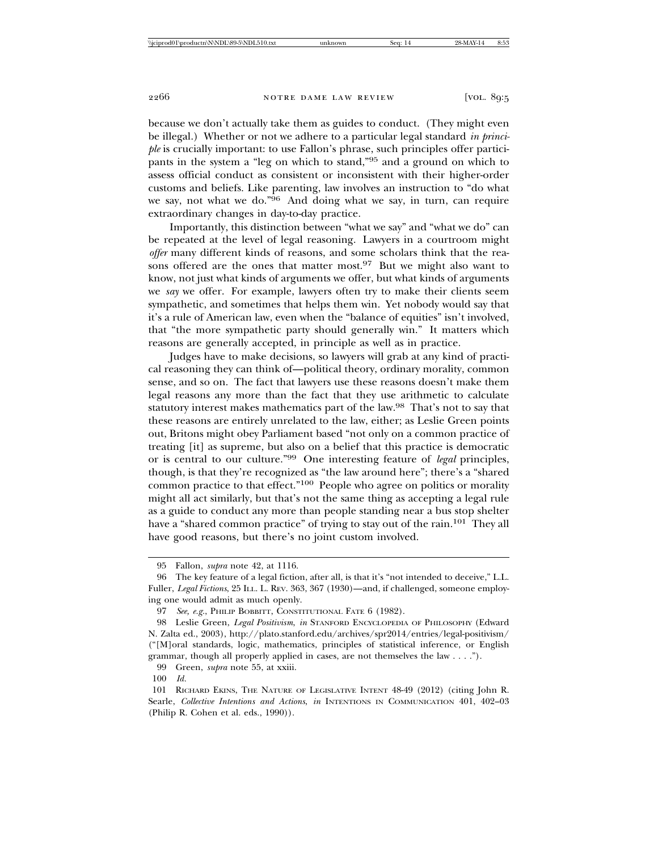because we don't actually take them as guides to conduct. (They might even be illegal.) Whether or not we adhere to a particular legal standard *in principle* is crucially important: to use Fallon's phrase, such principles offer participants in the system a "leg on which to stand,"95 and a ground on which to assess official conduct as consistent or inconsistent with their higher-order customs and beliefs. Like parenting, law involves an instruction to "do what we say, not what we do." $96$  And doing what we say, in turn, can require extraordinary changes in day-to-day practice.

Importantly, this distinction between "what we say" and "what we do" can be repeated at the level of legal reasoning. Lawyers in a courtroom might *offer* many different kinds of reasons, and some scholars think that the reasons offered are the ones that matter most.<sup>97</sup> But we might also want to know, not just what kinds of arguments we offer, but what kinds of arguments we *say* we offer. For example, lawyers often try to make their clients seem sympathetic, and sometimes that helps them win. Yet nobody would say that it's a rule of American law, even when the "balance of equities" isn't involved, that "the more sympathetic party should generally win." It matters which reasons are generally accepted, in principle as well as in practice.

Judges have to make decisions, so lawyers will grab at any kind of practical reasoning they can think of—political theory, ordinary morality, common sense, and so on. The fact that lawyers use these reasons doesn't make them legal reasons any more than the fact that they use arithmetic to calculate statutory interest makes mathematics part of the law.98 That's not to say that these reasons are entirely unrelated to the law, either; as Leslie Green points out, Britons might obey Parliament based "not only on a common practice of treating [it] as supreme, but also on a belief that this practice is democratic or is central to our culture."99 One interesting feature of *legal* principles, though, is that they're recognized as "the law around here"; there's a "shared common practice to that effect."100 People who agree on politics or morality might all act similarly, but that's not the same thing as accepting a legal rule as a guide to conduct any more than people standing near a bus stop shelter have a "shared common practice" of trying to stay out of the rain.<sup>101</sup> They all have good reasons, but there's no joint custom involved.

99 Green, *supra* note 55, at xxiii.

<sup>95</sup> Fallon, *supra* note 42, at 1116.

<sup>96</sup> The key feature of a legal fiction, after all, is that it's "not intended to deceive," L.L. Fuller, *Legal Fictions*, 25 ILL. L. REV. 363, 367 (1930)—and, if challenged, someone employing one would admit as much openly.

<sup>97</sup> *See, e.g.*, PHILIP BOBBITT, CONSTITUTIONAL FATE 6 (1982).

<sup>98</sup> Leslie Green, *Legal Positivism*, *in* STANFORD ENCYCLOPEDIA OF PHILOSOPHY (Edward N. Zalta ed., 2003), http://plato.stanford.edu/archives/spr2014/entries/legal-positivism/ ("[M]oral standards, logic, mathematics, principles of statistical inference, or English grammar, though all properly applied in cases, are not themselves the law . . . .").

<sup>100</sup> *Id.*

<sup>101</sup> RICHARD EKINS, THE NATURE OF LEGISLATIVE INTENT 48-49 (2012) (citing John R. Searle, *Collective Intentions and Actions*, *in* INTENTIONS IN COMMUNICATION 401, 402–03 (Philip R. Cohen et al. eds., 1990)).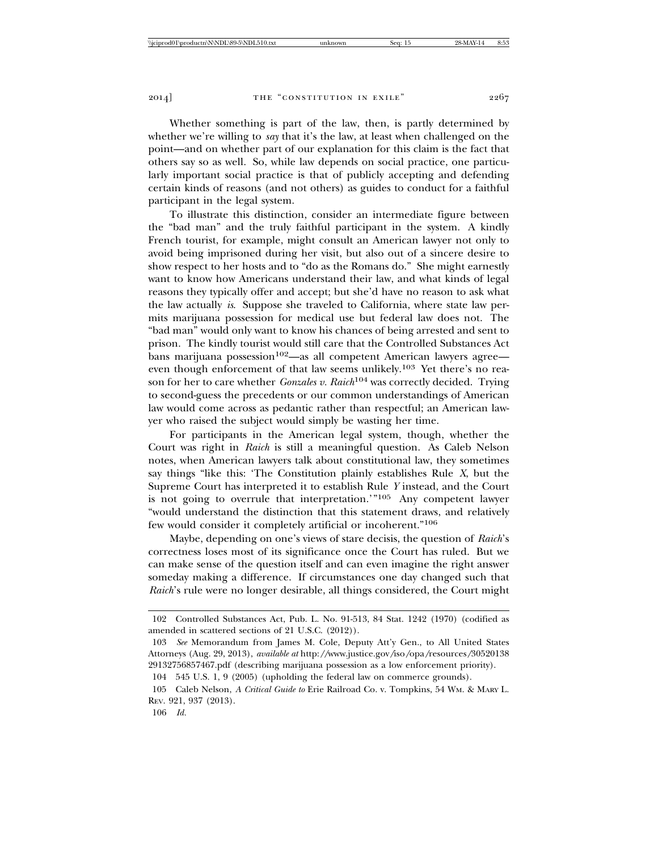Whether something is part of the law, then, is partly determined by whether we're willing to *say* that it's the law, at least when challenged on the point—and on whether part of our explanation for this claim is the fact that others say so as well. So, while law depends on social practice, one particularly important social practice is that of publicly accepting and defending certain kinds of reasons (and not others) as guides to conduct for a faithful participant in the legal system.

To illustrate this distinction, consider an intermediate figure between the "bad man" and the truly faithful participant in the system. A kindly French tourist, for example, might consult an American lawyer not only to avoid being imprisoned during her visit, but also out of a sincere desire to show respect to her hosts and to "do as the Romans do." She might earnestly want to know how Americans understand their law, and what kinds of legal reasons they typically offer and accept; but she'd have no reason to ask what the law actually *is*. Suppose she traveled to California, where state law permits marijuana possession for medical use but federal law does not. The "bad man" would only want to know his chances of being arrested and sent to prison. The kindly tourist would still care that the Controlled Substances Act  $\frac{1}{2}$ bans marijuana possession<sup>102</sup>—as all competent American lawyers agree even though enforcement of that law seems unlikely.<sup>103</sup> Yet there's no reason for her to care whether *Gonzales v. Raich*104 was correctly decided. Trying to second-guess the precedents or our common understandings of American law would come across as pedantic rather than respectful; an American lawyer who raised the subject would simply be wasting her time.

For participants in the American legal system, though, whether the Court was right in *Raich* is still a meaningful question. As Caleb Nelson notes, when American lawyers talk about constitutional law, they sometimes say things "like this: 'The Constitution plainly establishes Rule *X*, but the Supreme Court has interpreted it to establish Rule *Y* instead, and the Court is not going to overrule that interpretation.'"105 Any competent lawyer "would understand the distinction that this statement draws, and relatively few would consider it completely artificial or incoherent."106

Maybe, depending on one's views of stare decisis, the question of *Raich*'s correctness loses most of its significance once the Court has ruled. But we can make sense of the question itself and can even imagine the right answer someday making a difference. If circumstances one day changed such that *Raich*'s rule were no longer desirable, all things considered, the Court might

<sup>102</sup> Controlled Substances Act, Pub. L. No. 91-513, 84 Stat. 1242 (1970) (codified as amended in scattered sections of 21 U.S.C. (2012)).

<sup>103</sup> *See* Memorandum from James M. Cole, Deputy Att'y Gen., to All United States Attorneys (Aug. 29, 2013), *available at* http:*//*www.justice.gov*/*iso*/*opa*/*resources*/*30520138 29132756857467.pdf (describing marijuana possession as a low enforcement priority).

<sup>104 545</sup> U.S. 1, 9 (2005) (upholding the federal law on commerce grounds).

<sup>105</sup> Caleb Nelson, *A Critical Guide to* Erie Railroad Co. v. Tompkins, 54 WM. & MARY L. REV. 921, 937 (2013).

<sup>106</sup> *Id.*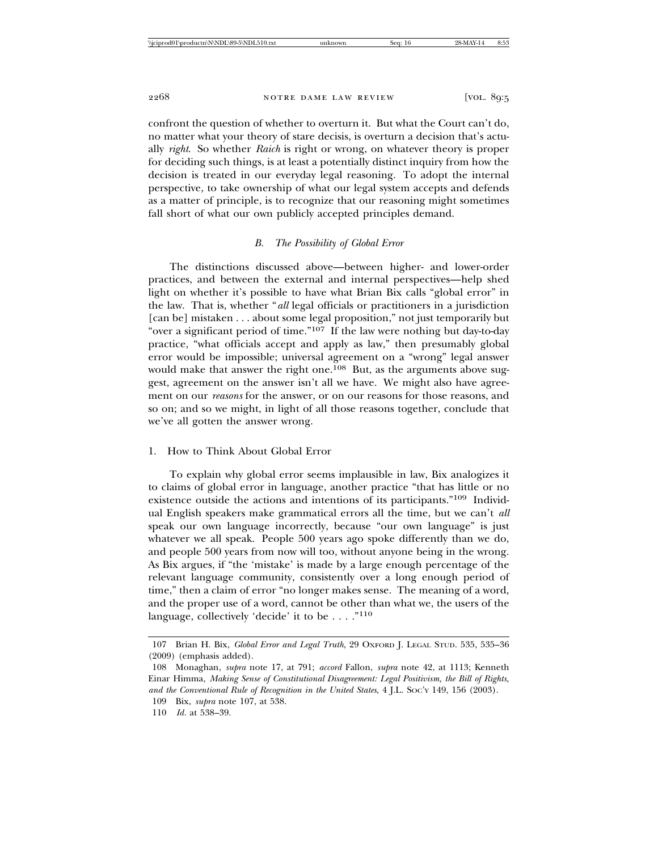confront the question of whether to overturn it. But what the Court can't do, no matter what your theory of stare decisis, is overturn a decision that's actually *right*. So whether *Raich* is right or wrong, on whatever theory is proper for deciding such things, is at least a potentially distinct inquiry from how the decision is treated in our everyday legal reasoning. To adopt the internal perspective, to take ownership of what our legal system accepts and defends as a matter of principle, is to recognize that our reasoning might sometimes fall short of what our own publicly accepted principles demand.

# *B. The Possibility of Global Error*

The distinctions discussed above—between higher- and lower-order practices, and between the external and internal perspectives—help shed light on whether it's possible to have what Brian Bix calls "global error" in the law. That is, whether "*all* legal officials or practitioners in a jurisdiction [can be] mistaken . . . about some legal proposition," not just temporarily but "over a significant period of time."107 If the law were nothing but day-to-day practice, "what officials accept and apply as law," then presumably global error would be impossible; universal agreement on a "wrong" legal answer would make that answer the right one.<sup>108</sup> But, as the arguments above suggest, agreement on the answer isn't all we have. We might also have agreement on our *reasons* for the answer, or on our reasons for those reasons, and so on; and so we might, in light of all those reasons together, conclude that we've all gotten the answer wrong.

# 1. How to Think About Global Error

To explain why global error seems implausible in law, Bix analogizes it to claims of global error in language, another practice "that has little or no existence outside the actions and intentions of its participants."109 Individual English speakers make grammatical errors all the time, but we can't *all* speak our own language incorrectly, because "our own language" is just whatever we all speak. People 500 years ago spoke differently than we do, and people 500 years from now will too, without anyone being in the wrong. As Bix argues, if "the 'mistake' is made by a large enough percentage of the relevant language community, consistently over a long enough period of time," then a claim of error "no longer makes sense. The meaning of a word, and the proper use of a word, cannot be other than what we, the users of the language, collectively 'decide' it to be . . . ."110

<sup>107</sup> Brian H. Bix, *Global Error and Legal Truth*, 29 OXFORD J. LEGAL STUD. 535, 535–36 (2009) (emphasis added).

<sup>108</sup> Monaghan, *supra* note 17, at 791; *accord* Fallon, *supra* note 42, at 1113; Kenneth Einar Himma, *Making Sense of Constitutional Disagreement: Legal Positivism, the Bill of Rights, and the Conventional Rule of Recognition in the United States*, 4 J.L. SOC'Y 149, 156 (2003).

<sup>109</sup> Bix, *supra* note 107, at 538. 110 *Id.* at 538–39.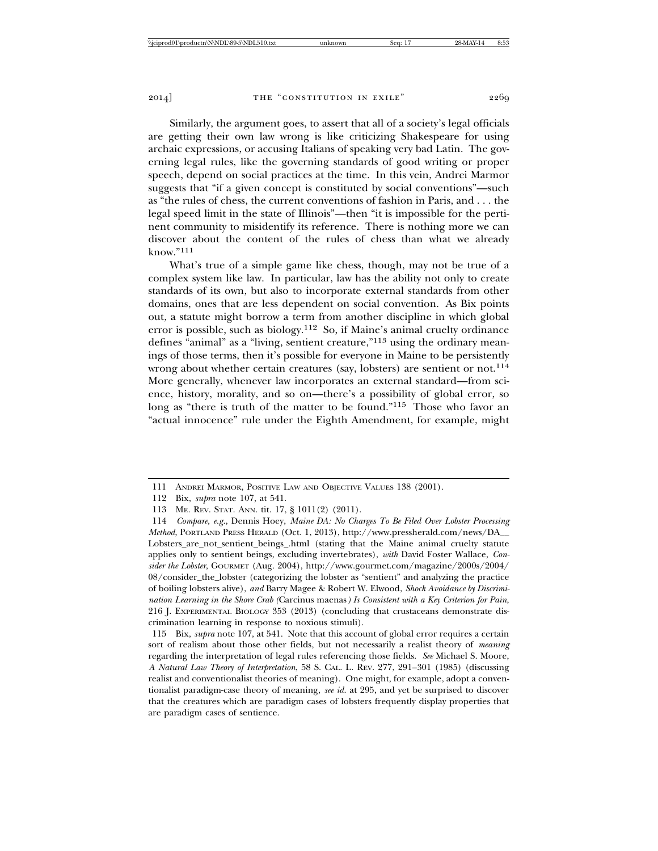Similarly, the argument goes, to assert that all of a society's legal officials are getting their own law wrong is like criticizing Shakespeare for using archaic expressions, or accusing Italians of speaking very bad Latin. The governing legal rules, like the governing standards of good writing or proper speech, depend on social practices at the time. In this vein, Andrei Marmor suggests that "if a given concept is constituted by social conventions"—such as "the rules of chess, the current conventions of fashion in Paris, and . . . the legal speed limit in the state of Illinois"—then "it is impossible for the pertinent community to misidentify its reference. There is nothing more we can discover about the content of the rules of chess than what we already  $k$ now."111

What's true of a simple game like chess, though, may not be true of a complex system like law. In particular, law has the ability not only to create standards of its own, but also to incorporate external standards from other domains, ones that are less dependent on social convention. As Bix points out, a statute might borrow a term from another discipline in which global error is possible, such as biology.112 So, if Maine's animal cruelty ordinance defines "animal" as a "living, sentient creature,"113 using the ordinary meanings of those terms, then it's possible for everyone in Maine to be persistently wrong about whether certain creatures (say, lobsters) are sentient or not.<sup>114</sup> More generally, whenever law incorporates an external standard—from science, history, morality, and so on—there's a possibility of global error, so long as "there is truth of the matter to be found."<sup>115</sup> Those who favor an "actual innocence" rule under the Eighth Amendment, for example, might

<sup>111</sup> ANDREI MARMOR, POSITIVE LAW AND OBJECTIVE VALUES 138 (2001).

<sup>112</sup> Bix, *supra* note 107, at 541.

<sup>113</sup> ME. REV. STAT. ANN. tit. 17, § 1011(2) (2011).

<sup>114</sup> *Compare, e.g.*, Dennis Hoey, *Maine DA: No Charges To Be Filed Over Lobster Processing Method*, PORTLAND PRESS HERALD (Oct. 1, 2013), http://www.pressherald.com/news/DA\_\_ Lobsters\_are\_not\_sentient\_beings\_.html (stating that the Maine animal cruelty statute applies only to sentient beings, excluding invertebrates), *with* David Foster Wallace, *Consider the Lobster*, GOURMET (Aug. 2004), http://www.gourmet.com/magazine/2000s/2004/ 08/consider\_the\_lobster (categorizing the lobster as "sentient" and analyzing the practice of boiling lobsters alive), *and* Barry Magee & Robert W. Elwood, *Shock Avoidance by Discrimination Learning in the Shore Crab (*Carcinus maenas*) Is Consistent with a Key Criterion for Pain*, 216 J. EXPERIMENTAL BIOLOGY 353 (2013) (concluding that crustaceans demonstrate discrimination learning in response to noxious stimuli).

<sup>115</sup> Bix, *supra* note 107, at 541. Note that this account of global error requires a certain sort of realism about those other fields, but not necessarily a realist theory of *meaning* regarding the interpretation of legal rules referencing those fields. *See* Michael S. Moore, *A Natural Law Theory of Interpretation*, 58 S. CAL. L. REV. 277, 291–301 (1985) (discussing realist and conventionalist theories of meaning). One might, for example, adopt a conventionalist paradigm-case theory of meaning, *see id.* at 295, and yet be surprised to discover that the creatures which are paradigm cases of lobsters frequently display properties that are paradigm cases of sentience.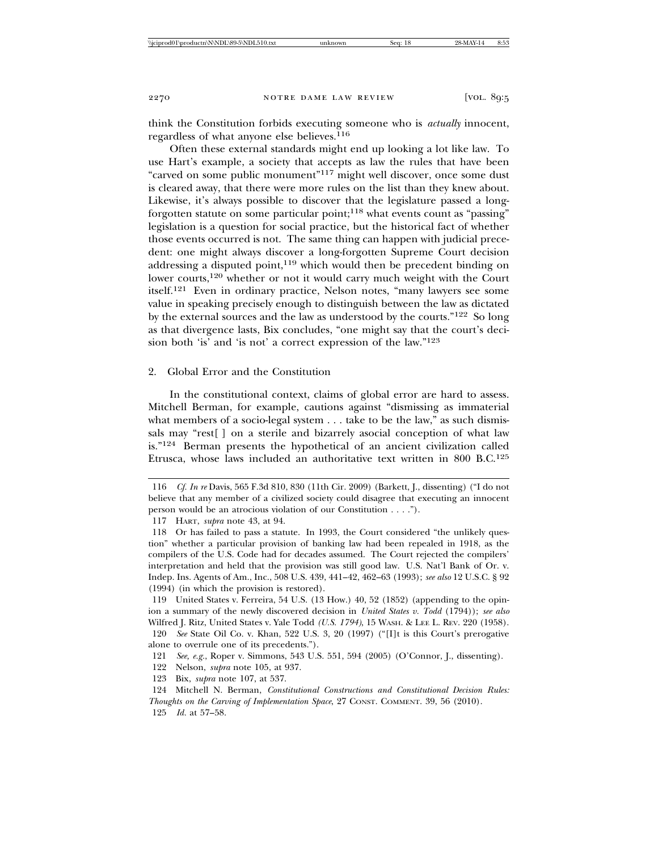think the Constitution forbids executing someone who is *actually* innocent, regardless of what anyone else believes.<sup>116</sup>

Often these external standards might end up looking a lot like law. To use Hart's example, a society that accepts as law the rules that have been "carved on some public monument"117 might well discover, once some dust is cleared away, that there were more rules on the list than they knew about. Likewise, it's always possible to discover that the legislature passed a longforgotten statute on some particular point;118 what events count as "passing" legislation is a question for social practice, but the historical fact of whether those events occurred is not. The same thing can happen with judicial precedent: one might always discover a long-forgotten Supreme Court decision addressing a disputed point,<sup>119</sup> which would then be precedent binding on lower courts,<sup>120</sup> whether or not it would carry much weight with the Court itself.121 Even in ordinary practice, Nelson notes, "many lawyers see some value in speaking precisely enough to distinguish between the law as dictated by the external sources and the law as understood by the courts."122 So long as that divergence lasts, Bix concludes, "one might say that the court's decision both 'is' and 'is not' a correct expression of the law."123

## 2. Global Error and the Constitution

In the constitutional context, claims of global error are hard to assess. Mitchell Berman, for example, cautions against "dismissing as immaterial what members of a socio-legal system . . . take to be the law," as such dismissals may "rest[ ] on a sterile and bizarrely asocial conception of what law is."124 Berman presents the hypothetical of an ancient civilization called Etrusca, whose laws included an authoritative text written in 800 B.C.125

119 United States v. Ferreira, 54 U.S. (13 How.) 40, 52 (1852) (appending to the opinion a summary of the newly discovered decision in *United States v. Todd* (1794)); *see also* Wilfred J. Ritz, United States v. Yale Todd *(U.S. 1794)*, 15 WASH. & LEE L. REV. 220 (1958).

120 *See* State Oil Co. v. Khan, 522 U.S. 3, 20 (1997) ("[I]t is this Court's prerogative alone to overrule one of its precedents.").

- 121 *See, e.g.*, Roper v. Simmons, 543 U.S. 551, 594 (2005) (O'Connor, J., dissenting).
- 122 Nelson, *supra* note 105, at 937.
- 123 Bix, *supra* note 107, at 537.

124 Mitchell N. Berman, *Constitutional Constructions and Constitutional Decision Rules: Thoughts on the Carving of Implementation Space*, 27 CONST. COMMENT. 39, 56 (2010). 125 *Id.* at 57–58.

<sup>116</sup> *Cf. In re* Davis, 565 F.3d 810, 830 (11th Cir. 2009) (Barkett, J., dissenting) ("I do not believe that any member of a civilized society could disagree that executing an innocent person would be an atrocious violation of our Constitution . . . .").

<sup>117</sup> HART, *supra* note 43, at 94.

<sup>118</sup> Or has failed to pass a statute. In 1993, the Court considered "the unlikely question" whether a particular provision of banking law had been repealed in 1918, as the compilers of the U.S. Code had for decades assumed. The Court rejected the compilers' interpretation and held that the provision was still good law. U.S. Nat'l Bank of Or. v. Indep. Ins. Agents of Am., Inc., 508 U.S. 439, 441–42, 462–63 (1993); *see also* 12 U.S.C. § 92 (1994) (in which the provision is restored).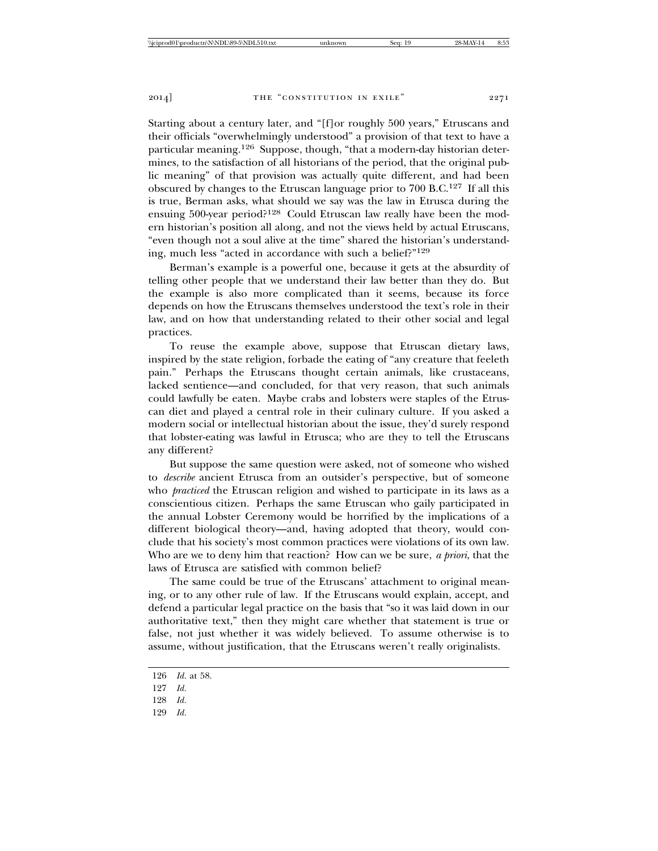Starting about a century later, and "[f]or roughly 500 years," Etruscans and their officials "overwhelmingly understood" a provision of that text to have a particular meaning.<sup>126</sup> Suppose, though, "that a modern-day historian determines, to the satisfaction of all historians of the period, that the original public meaning" of that provision was actually quite different, and had been obscured by changes to the Etruscan language prior to 700 B.C.127 If all this is true, Berman asks, what should we say was the law in Etrusca during the ensuing 500-year period?128 Could Etruscan law really have been the modern historian's position all along, and not the views held by actual Etruscans, "even though not a soul alive at the time" shared the historian's understanding, much less "acted in accordance with such a belief?"129

Berman's example is a powerful one, because it gets at the absurdity of telling other people that we understand their law better than they do. But the example is also more complicated than it seems, because its force depends on how the Etruscans themselves understood the text's role in their law, and on how that understanding related to their other social and legal practices.

To reuse the example above, suppose that Etruscan dietary laws, inspired by the state religion, forbade the eating of "any creature that feeleth pain." Perhaps the Etruscans thought certain animals, like crustaceans, lacked sentience—and concluded, for that very reason, that such animals could lawfully be eaten. Maybe crabs and lobsters were staples of the Etruscan diet and played a central role in their culinary culture. If you asked a modern social or intellectual historian about the issue, they'd surely respond that lobster-eating was lawful in Etrusca; who are they to tell the Etruscans any different?

But suppose the same question were asked, not of someone who wished to *describe* ancient Etrusca from an outsider's perspective, but of someone who *practiced* the Etruscan religion and wished to participate in its laws as a conscientious citizen. Perhaps the same Etruscan who gaily participated in the annual Lobster Ceremony would be horrified by the implications of a different biological theory—and, having adopted that theory, would conclude that his society's most common practices were violations of its own law. Who are we to deny him that reaction? How can we be sure, *a priori*, that the laws of Etrusca are satisfied with common belief?

The same could be true of the Etruscans' attachment to original meaning, or to any other rule of law. If the Etruscans would explain, accept, and defend a particular legal practice on the basis that "so it was laid down in our authoritative text," then they might care whether that statement is true or false, not just whether it was widely believed. To assume otherwise is to assume, without justification, that the Etruscans weren't really originalists.

<sup>126</sup> *Id.* at 58.

<sup>127</sup> *Id.*

<sup>128</sup> *Id.*

<sup>129</sup> *Id.*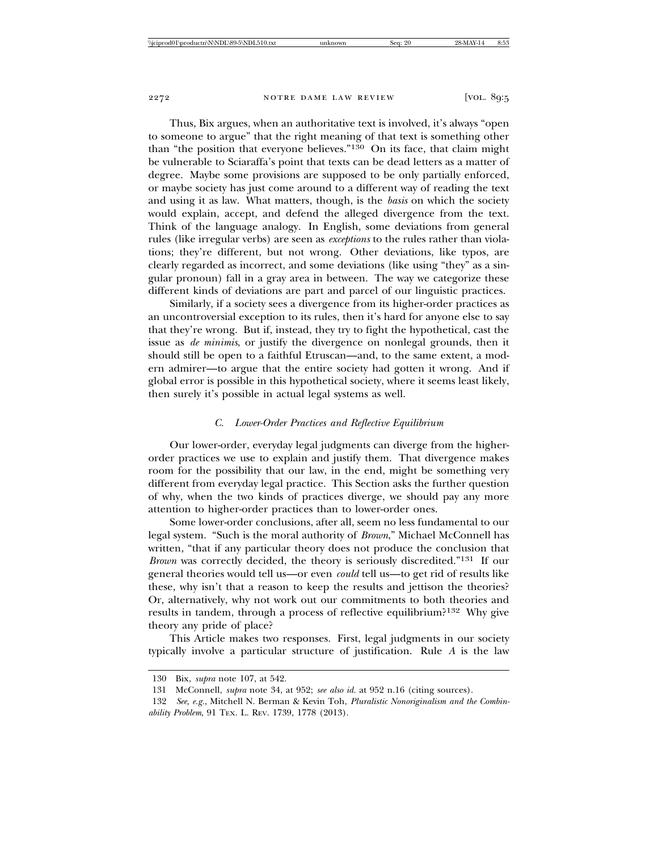Thus, Bix argues, when an authoritative text is involved, it's always "open to someone to argue" that the right meaning of that text is something other than "the position that everyone believes."130 On its face, that claim might be vulnerable to Sciaraffa's point that texts can be dead letters as a matter of degree. Maybe some provisions are supposed to be only partially enforced, or maybe society has just come around to a different way of reading the text and using it as law. What matters, though, is the *basis* on which the society would explain, accept, and defend the alleged divergence from the text. Think of the language analogy. In English, some deviations from general rules (like irregular verbs) are seen as *exceptions* to the rules rather than violations; they're different, but not wrong. Other deviations, like typos, are clearly regarded as incorrect, and some deviations (like using "they" as a singular pronoun) fall in a gray area in between. The way we categorize these different kinds of deviations are part and parcel of our linguistic practices.

Similarly, if a society sees a divergence from its higher-order practices as an uncontroversial exception to its rules, then it's hard for anyone else to say that they're wrong. But if, instead, they try to fight the hypothetical, cast the issue as *de minimis*, or justify the divergence on nonlegal grounds, then it should still be open to a faithful Etruscan—and, to the same extent, a modern admirer—to argue that the entire society had gotten it wrong. And if global error is possible in this hypothetical society, where it seems least likely, then surely it's possible in actual legal systems as well.

## *C. Lower-Order Practices and Reflective Equilibrium*

Our lower-order, everyday legal judgments can diverge from the higherorder practices we use to explain and justify them. That divergence makes room for the possibility that our law, in the end, might be something very different from everyday legal practice. This Section asks the further question of why, when the two kinds of practices diverge, we should pay any more attention to higher-order practices than to lower-order ones.

Some lower-order conclusions, after all, seem no less fundamental to our legal system. "Such is the moral authority of *Brown*," Michael McConnell has written, "that if any particular theory does not produce the conclusion that *Brown* was correctly decided, the theory is seriously discredited."131 If our general theories would tell us—or even *could* tell us—to get rid of results like these, why isn't that a reason to keep the results and jettison the theories? Or, alternatively, why not work out our commitments to both theories and results in tandem, through a process of reflective equilibrium?132 Why give theory any pride of place?

This Article makes two responses. First, legal judgments in our society typically involve a particular structure of justification. Rule *A* is the law

<sup>130</sup> Bix, *supra* note 107, at 542.

<sup>131</sup> McConnell, *supra* note 34, at 952; *see also id.* at 952 n.16 (citing sources).

<sup>132</sup> *See, e.g.*, Mitchell N. Berman & Kevin Toh, *Pluralistic Nonoriginalism and the Combinability Problem*, 91 TEX. L. REV. 1739, 1778 (2013).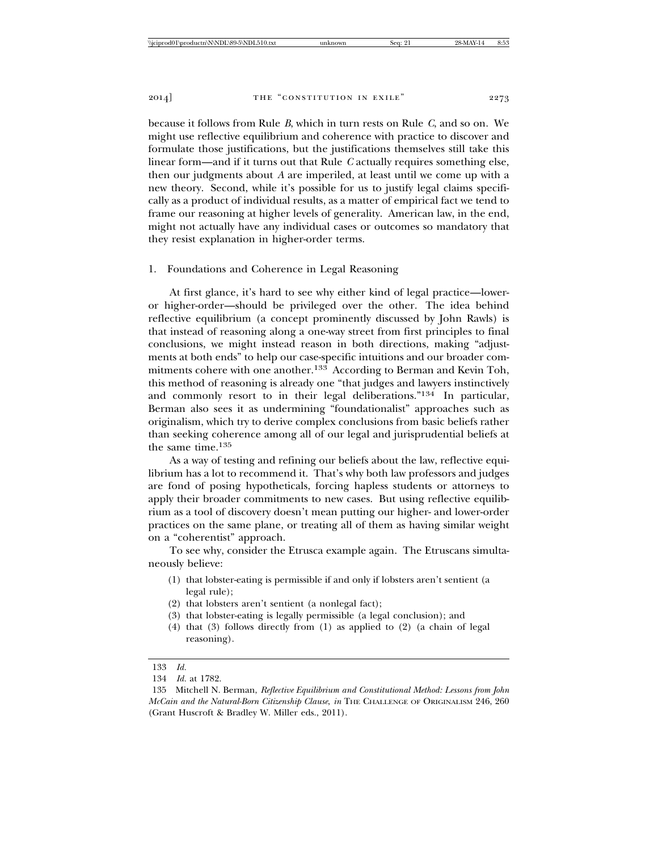because it follows from Rule *B*, which in turn rests on Rule *C*, and so on. We might use reflective equilibrium and coherence with practice to discover and formulate those justifications, but the justifications themselves still take this linear form—and if it turns out that Rule *C* actually requires something else, then our judgments about *A* are imperiled, at least until we come up with a new theory. Second, while it's possible for us to justify legal claims specifically as a product of individual results, as a matter of empirical fact we tend to frame our reasoning at higher levels of generality. American law, in the end, might not actually have any individual cases or outcomes so mandatory that they resist explanation in higher-order terms.

# 1. Foundations and Coherence in Legal Reasoning

At first glance, it's hard to see why either kind of legal practice—loweror higher-order—should be privileged over the other. The idea behind reflective equilibrium (a concept prominently discussed by John Rawls) is that instead of reasoning along a one-way street from first principles to final conclusions, we might instead reason in both directions, making "adjustments at both ends" to help our case-specific intuitions and our broader commitments cohere with one another.133 According to Berman and Kevin Toh, this method of reasoning is already one "that judges and lawyers instinctively and commonly resort to in their legal deliberations."134 In particular, Berman also sees it as undermining "foundationalist" approaches such as originalism, which try to derive complex conclusions from basic beliefs rather than seeking coherence among all of our legal and jurisprudential beliefs at the same time.135

As a way of testing and refining our beliefs about the law, reflective equilibrium has a lot to recommend it. That's why both law professors and judges are fond of posing hypotheticals, forcing hapless students or attorneys to apply their broader commitments to new cases. But using reflective equilibrium as a tool of discovery doesn't mean putting our higher- and lower-order practices on the same plane, or treating all of them as having similar weight on a "coherentist" approach.

To see why, consider the Etrusca example again. The Etruscans simultaneously believe:

- (1) that lobster-eating is permissible if and only if lobsters aren't sentient (a legal rule);
- (2) that lobsters aren't sentient (a nonlegal fact);
- (3) that lobster-eating is legally permissible (a legal conclusion); and
- (4) that (3) follows directly from (1) as applied to (2) (a chain of legal reasoning).

<sup>133</sup> *Id.*

<sup>134</sup> *Id.* at 1782.

<sup>135</sup> Mitchell N. Berman, *Reflective Equilibrium and Constitutional Method: Lessons from John McCain and the Natural-Born Citizenship Clause*, *in* THE CHALLENGE OF ORIGINALISM 246, 260 (Grant Huscroft & Bradley W. Miller eds., 2011).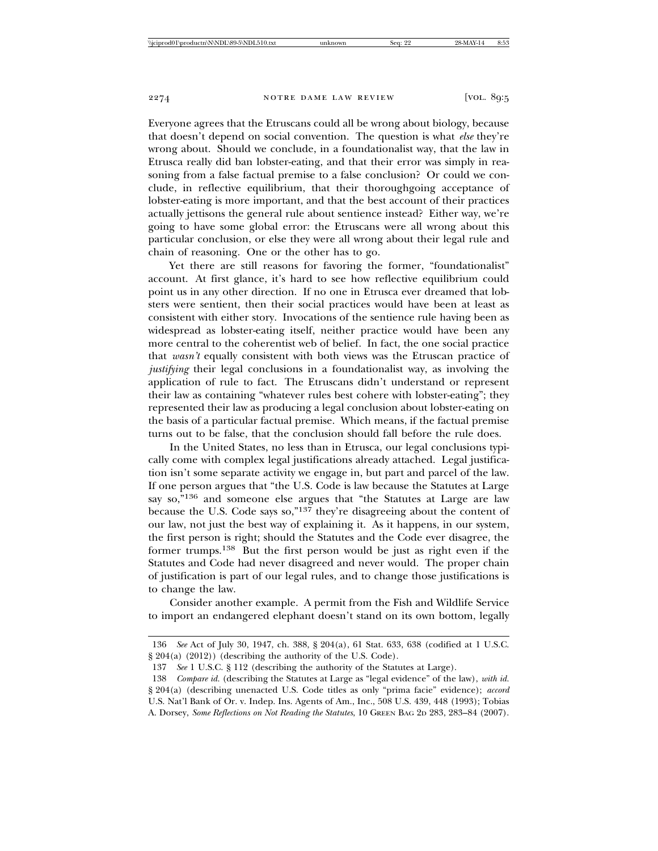Everyone agrees that the Etruscans could all be wrong about biology, because that doesn't depend on social convention. The question is what *else* they're wrong about. Should we conclude, in a foundationalist way, that the law in Etrusca really did ban lobster-eating, and that their error was simply in reasoning from a false factual premise to a false conclusion? Or could we conclude, in reflective equilibrium, that their thoroughgoing acceptance of lobster-eating is more important, and that the best account of their practices actually jettisons the general rule about sentience instead? Either way, we're going to have some global error: the Etruscans were all wrong about this particular conclusion, or else they were all wrong about their legal rule and chain of reasoning. One or the other has to go.

Yet there are still reasons for favoring the former, "foundationalist" account. At first glance, it's hard to see how reflective equilibrium could point us in any other direction. If no one in Etrusca ever dreamed that lobsters were sentient, then their social practices would have been at least as consistent with either story. Invocations of the sentience rule having been as widespread as lobster-eating itself, neither practice would have been any more central to the coherentist web of belief. In fact, the one social practice that *wasn't* equally consistent with both views was the Etruscan practice of *justifying* their legal conclusions in a foundationalist way, as involving the application of rule to fact. The Etruscans didn't understand or represent their law as containing "whatever rules best cohere with lobster-eating"; they represented their law as producing a legal conclusion about lobster-eating on the basis of a particular factual premise. Which means, if the factual premise turns out to be false, that the conclusion should fall before the rule does.

In the United States, no less than in Etrusca, our legal conclusions typically come with complex legal justifications already attached. Legal justification isn't some separate activity we engage in, but part and parcel of the law. If one person argues that "the U.S. Code is law because the Statutes at Large say so,"136 and someone else argues that "the Statutes at Large are law because the U.S. Code says so,"137 they're disagreeing about the content of our law, not just the best way of explaining it. As it happens, in our system, the first person is right; should the Statutes and the Code ever disagree, the former trumps.138 But the first person would be just as right even if the Statutes and Code had never disagreed and never would. The proper chain of justification is part of our legal rules, and to change those justifications is to change the law.

Consider another example. A permit from the Fish and Wildlife Service to import an endangered elephant doesn't stand on its own bottom, legally

<sup>136</sup> *See* Act of July 30, 1947, ch. 388, § 204(a), 61 Stat. 633, 638 (codified at 1 U.S.C. § 204(a) (2012)) (describing the authority of the U.S. Code).

<sup>137</sup> *See* 1 U.S.C. § 112 (describing the authority of the Statutes at Large).

<sup>138</sup> *Compare id.* (describing the Statutes at Large as "legal evidence" of the law), *with id.* § 204(a) (describing unenacted U.S. Code titles as only "prima facie" evidence); *accord* U.S. Nat'l Bank of Or. v. Indep. Ins. Agents of Am., Inc., 508 U.S. 439, 448 (1993); Tobias A. Dorsey, *Some Reflections on Not Reading the Statutes*, 10 GREEN BAG 2D 283, 283–84 (2007).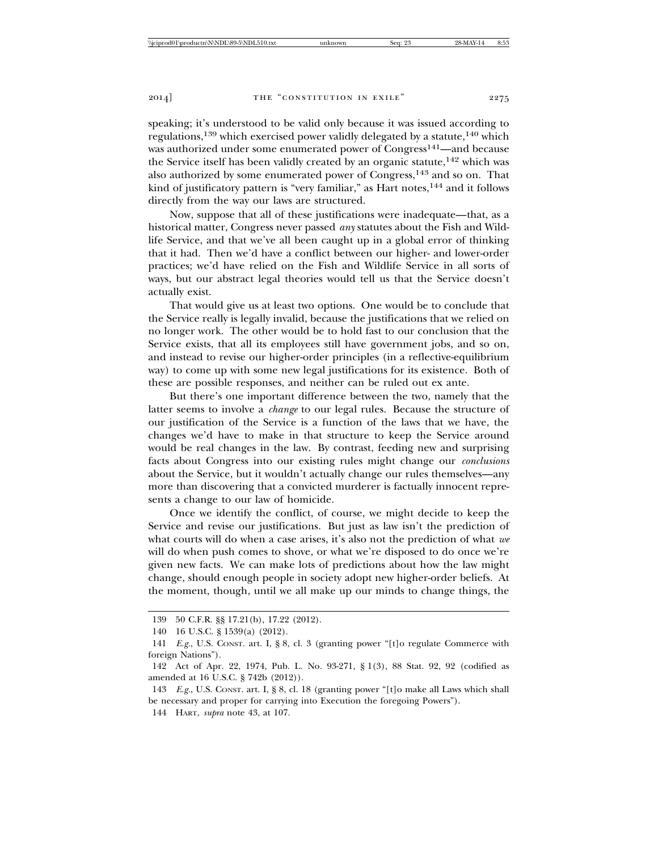speaking; it's understood to be valid only because it was issued according to regulations,139 which exercised power validly delegated by a statute,140 which was authorized under some enumerated power of Congress<sup>141</sup>—and because the Service itself has been validly created by an organic statute,<sup>142</sup> which was also authorized by some enumerated power of Congress,143 and so on. That kind of justificatory pattern is "very familiar," as Hart notes,<sup>144</sup> and it follows directly from the way our laws are structured.

Now, suppose that all of these justifications were inadequate—that, as a historical matter, Congress never passed *any* statutes about the Fish and Wildlife Service, and that we've all been caught up in a global error of thinking that it had. Then we'd have a conflict between our higher- and lower-order practices; we'd have relied on the Fish and Wildlife Service in all sorts of ways, but our abstract legal theories would tell us that the Service doesn't actually exist.

That would give us at least two options. One would be to conclude that the Service really is legally invalid, because the justifications that we relied on no longer work. The other would be to hold fast to our conclusion that the Service exists, that all its employees still have government jobs, and so on, and instead to revise our higher-order principles (in a reflective-equilibrium way) to come up with some new legal justifications for its existence. Both of these are possible responses, and neither can be ruled out ex ante.

But there's one important difference between the two, namely that the latter seems to involve a *change* to our legal rules. Because the structure of our justification of the Service is a function of the laws that we have, the changes we'd have to make in that structure to keep the Service around would be real changes in the law. By contrast, feeding new and surprising facts about Congress into our existing rules might change our *conclusions* about the Service, but it wouldn't actually change our rules themselves—any more than discovering that a convicted murderer is factually innocent represents a change to our law of homicide.

Once we identify the conflict, of course, we might decide to keep the Service and revise our justifications. But just as law isn't the prediction of what courts will do when a case arises, it's also not the prediction of what *we* will do when push comes to shove, or what we're disposed to do once we're given new facts. We can make lots of predictions about how the law might change, should enough people in society adopt new higher-order beliefs. At the moment, though, until we all make up our minds to change things, the

<sup>139 50</sup> C.F.R. §§ 17.21(b), 17.22 (2012).

<sup>140 16</sup> U.S.C. § 1539(a) (2012).

<sup>141</sup> *E.g.*, U.S. CONST. art. I, § 8, cl. 3 (granting power "[t]o regulate Commerce with foreign Nations").

<sup>142</sup> Act of Apr. 22, 1974, Pub. L. No. 93-271, § 1(3), 88 Stat. 92, 92 (codified as amended at 16 U.S.C. § 742b (2012)).

<sup>143</sup> *E.g.*, U.S. CONST. art. I, § 8, cl. 18 (granting power "[t]o make all Laws which shall be necessary and proper for carrying into Execution the foregoing Powers").

<sup>144</sup> HART, *supra* note 43, at 107.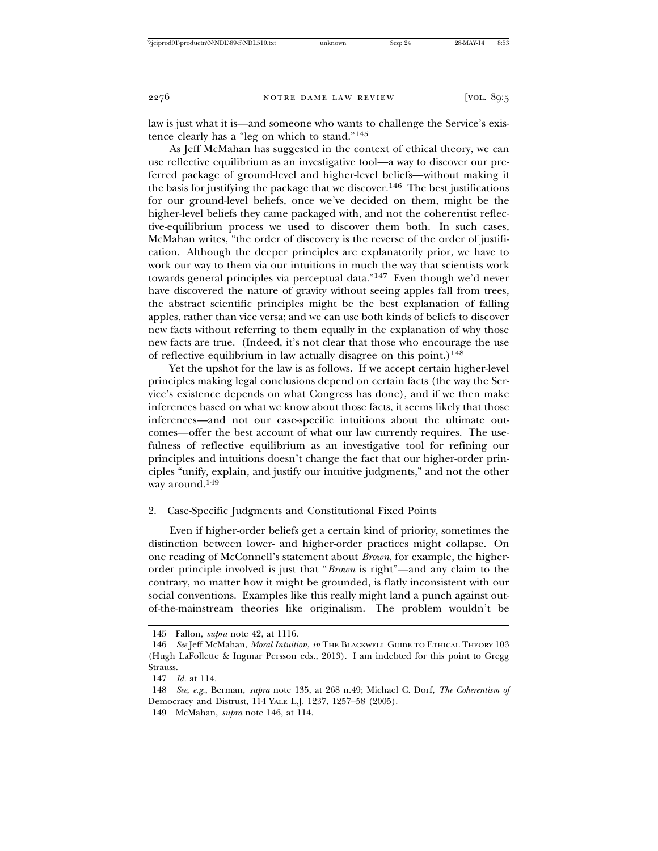law is just what it is—and someone who wants to challenge the Service's existence clearly has a "leg on which to stand."145

As Jeff McMahan has suggested in the context of ethical theory, we can use reflective equilibrium as an investigative tool—a way to discover our preferred package of ground-level and higher-level beliefs—without making it the basis for justifying the package that we discover.<sup>146</sup> The best justifications for our ground-level beliefs, once we've decided on them, might be the higher-level beliefs they came packaged with, and not the coherentist reflective-equilibrium process we used to discover them both. In such cases, McMahan writes, "the order of discovery is the reverse of the order of justification. Although the deeper principles are explanatorily prior, we have to work our way to them via our intuitions in much the way that scientists work towards general principles via perceptual data."147 Even though we'd never have discovered the nature of gravity without seeing apples fall from trees, the abstract scientific principles might be the best explanation of falling apples, rather than vice versa; and we can use both kinds of beliefs to discover new facts without referring to them equally in the explanation of why those new facts are true. (Indeed, it's not clear that those who encourage the use of reflective equilibrium in law actually disagree on this point.)<sup>148</sup>

Yet the upshot for the law is as follows. If we accept certain higher-level principles making legal conclusions depend on certain facts (the way the Service's existence depends on what Congress has done), and if we then make inferences based on what we know about those facts, it seems likely that those inferences—and not our case-specific intuitions about the ultimate outcomes—offer the best account of what our law currently requires. The usefulness of reflective equilibrium as an investigative tool for refining our principles and intuitions doesn't change the fact that our higher-order principles "unify, explain, and justify our intuitive judgments," and not the other way around.149

#### 2. Case-Specific Judgments and Constitutional Fixed Points

Even if higher-order beliefs get a certain kind of priority, sometimes the distinction between lower- and higher-order practices might collapse. On one reading of McConnell's statement about *Brown*, for example, the higherorder principle involved is just that "*Brown* is right"—and any claim to the contrary, no matter how it might be grounded, is flatly inconsistent with our social conventions. Examples like this really might land a punch against outof-the-mainstream theories like originalism. The problem wouldn't be

<sup>145</sup> Fallon, *supra* note 42, at 1116.

<sup>146</sup> *See* Jeff McMahan, *Moral Intuition*, *in* THE BLACKWELL GUIDE TO ETHICAL THEORY 103 (Hugh LaFollette & Ingmar Persson eds., 2013). I am indebted for this point to Gregg Strauss.

<sup>147</sup> *Id.* at 114.

<sup>148</sup> *See, e.g.*, Berman, *supra* note 135, at 268 n.49; Michael C. Dorf, *The Coherentism of* Democracy and Distrust, 114 YALE L.J. 1237, 1257–58 (2005).

<sup>149</sup> McMahan, *supra* note 146, at 114.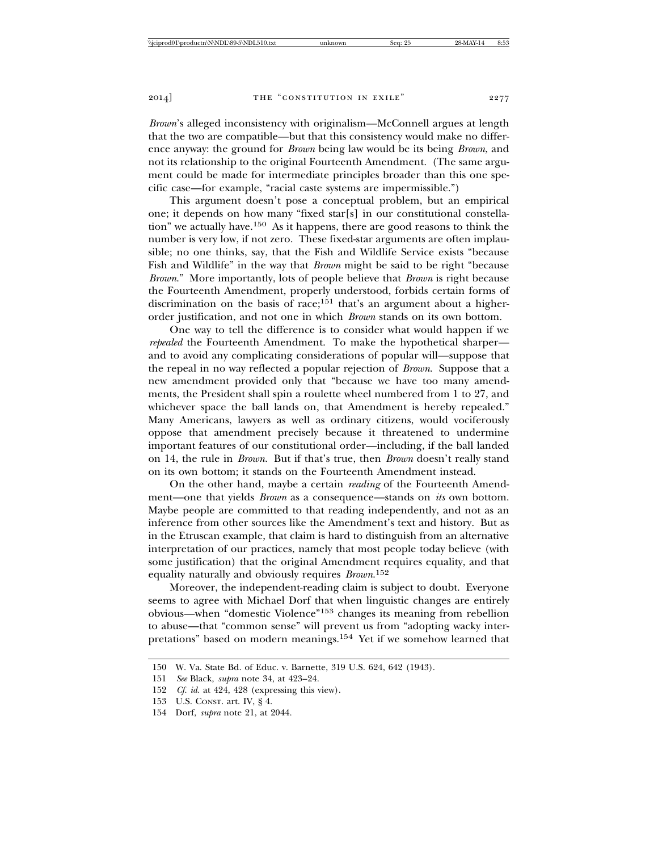*Brown*'s alleged inconsistency with originalism—McConnell argues at length that the two are compatible—but that this consistency would make no difference anyway: the ground for *Brown* being law would be its being *Brown*, and not its relationship to the original Fourteenth Amendment. (The same argument could be made for intermediate principles broader than this one specific case—for example, "racial caste systems are impermissible.")

This argument doesn't pose a conceptual problem, but an empirical one; it depends on how many "fixed star[s] in our constitutional constellation" we actually have.150 As it happens, there are good reasons to think the number is very low, if not zero. These fixed-star arguments are often implausible; no one thinks, say, that the Fish and Wildlife Service exists "because Fish and Wildlife" in the way that *Brown* might be said to be right "because *Brown*." More importantly, lots of people believe that *Brown* is right because the Fourteenth Amendment, properly understood, forbids certain forms of discrimination on the basis of race;<sup>151</sup> that's an argument about a higherorder justification, and not one in which *Brown* stands on its own bottom.

One way to tell the difference is to consider what would happen if we *repealed* the Fourteenth Amendment. To make the hypothetical sharper and to avoid any complicating considerations of popular will—suppose that the repeal in no way reflected a popular rejection of *Brown*. Suppose that a new amendment provided only that "because we have too many amendments, the President shall spin a roulette wheel numbered from 1 to 27, and whichever space the ball lands on, that Amendment is hereby repealed." Many Americans, lawyers as well as ordinary citizens, would vociferously oppose that amendment precisely because it threatened to undermine important features of our constitutional order—including, if the ball landed on 14, the rule in *Brown*. But if that's true, then *Brown* doesn't really stand on its own bottom; it stands on the Fourteenth Amendment instead.

On the other hand, maybe a certain *reading* of the Fourteenth Amendment—one that yields *Brown* as a consequence—stands on *its* own bottom. Maybe people are committed to that reading independently, and not as an inference from other sources like the Amendment's text and history. But as in the Etruscan example, that claim is hard to distinguish from an alternative interpretation of our practices, namely that most people today believe (with some justification) that the original Amendment requires equality, and that equality naturally and obviously requires *Brown*. 152

Moreover, the independent-reading claim is subject to doubt. Everyone seems to agree with Michael Dorf that when linguistic changes are entirely obvious—when "domestic Violence"153 changes its meaning from rebellion to abuse—that "common sense" will prevent us from "adopting wacky interpretations" based on modern meanings.154 Yet if we somehow learned that

<sup>150</sup> W. Va. State Bd. of Educ. v. Barnette, 319 U.S. 624, 642 (1943).

<sup>151</sup> *See* Black, *supra* note 34, at 423–24.

<sup>152</sup> *Cf. id.* at 424, 428 (expressing this view).

<sup>153</sup> U.S. CONST. art. IV, § 4.

<sup>154</sup> Dorf, *supra* note 21, at 2044.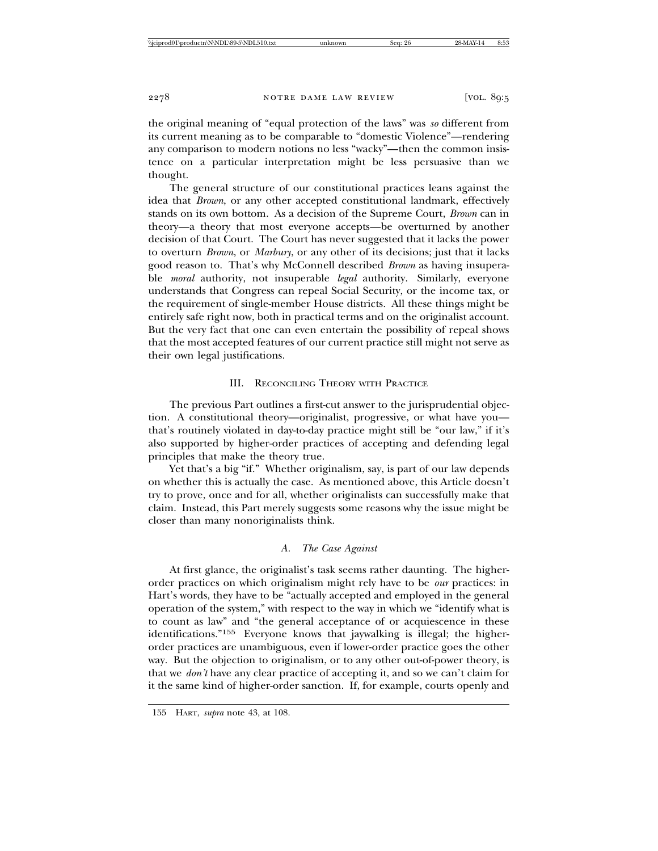the original meaning of "equal protection of the laws" was *so* different from its current meaning as to be comparable to "domestic Violence"—rendering any comparison to modern notions no less "wacky"—then the common insistence on a particular interpretation might be less persuasive than we thought.

The general structure of our constitutional practices leans against the idea that *Brown*, or any other accepted constitutional landmark, effectively stands on its own bottom. As a decision of the Supreme Court, *Brown* can in theory—a theory that most everyone accepts—be overturned by another decision of that Court. The Court has never suggested that it lacks the power to overturn *Brown*, or *Marbury*, or any other of its decisions; just that it lacks good reason to. That's why McConnell described *Brown* as having insuperable *moral* authority, not insuperable *legal* authority. Similarly, everyone understands that Congress can repeal Social Security, or the income tax, or the requirement of single-member House districts. All these things might be entirely safe right now, both in practical terms and on the originalist account. But the very fact that one can even entertain the possibility of repeal shows that the most accepted features of our current practice still might not serve as their own legal justifications.

# III. RECONCILING THEORY WITH PRACTICE

The previous Part outlines a first-cut answer to the jurisprudential objection. A constitutional theory—originalist, progressive, or what have you that's routinely violated in day-to-day practice might still be "our law," if it's also supported by higher-order practices of accepting and defending legal principles that make the theory true.

Yet that's a big "if." Whether originalism, say, is part of our law depends on whether this is actually the case. As mentioned above, this Article doesn't try to prove, once and for all, whether originalists can successfully make that claim. Instead, this Part merely suggests some reasons why the issue might be closer than many nonoriginalists think.

# *A. The Case Against*

At first glance, the originalist's task seems rather daunting. The higherorder practices on which originalism might rely have to be *our* practices: in Hart's words, they have to be "actually accepted and employed in the general operation of the system," with respect to the way in which we "identify what is to count as law" and "the general acceptance of or acquiescence in these identifications."155 Everyone knows that jaywalking is illegal; the higherorder practices are unambiguous, even if lower-order practice goes the other way. But the objection to originalism, or to any other out-of-power theory, is that we *don't* have any clear practice of accepting it, and so we can't claim for it the same kind of higher-order sanction. If, for example, courts openly and

<sup>155</sup> HART, *supra* note 43, at 108.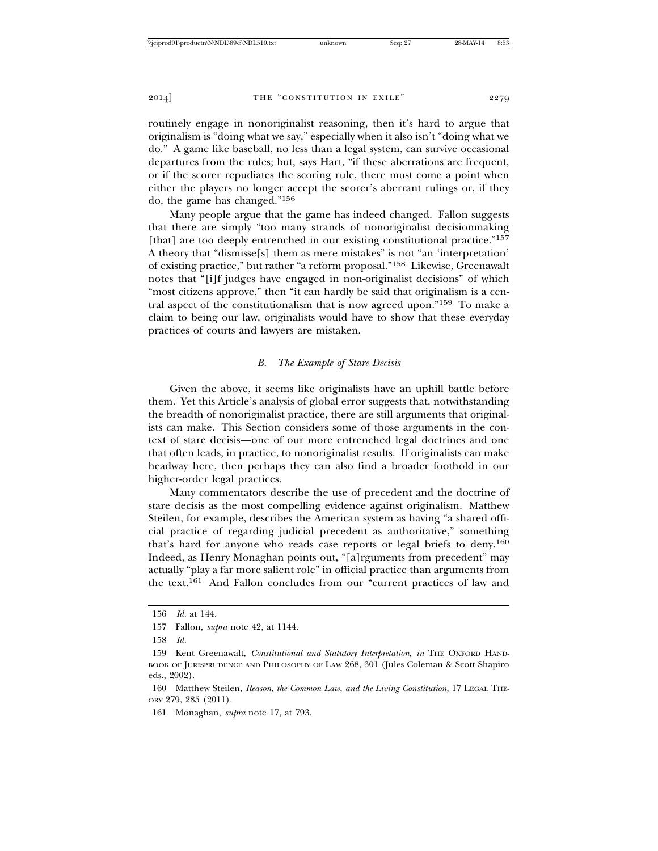routinely engage in nonoriginalist reasoning, then it's hard to argue that originalism is "doing what we say," especially when it also isn't "doing what we do." A game like baseball, no less than a legal system, can survive occasional departures from the rules; but, says Hart, "if these aberrations are frequent, or if the scorer repudiates the scoring rule, there must come a point when either the players no longer accept the scorer's aberrant rulings or, if they do, the game has changed."156

Many people argue that the game has indeed changed. Fallon suggests that there are simply "too many strands of nonoriginalist decisionmaking [that] are too deeply entrenched in our existing constitutional practice."<sup>157</sup> A theory that "dismisse[s] them as mere mistakes" is not "an 'interpretation' of existing practice," but rather "a reform proposal."158 Likewise, Greenawalt notes that "[i]f judges have engaged in non-originalist decisions" of which "most citizens approve," then "it can hardly be said that originalism is a central aspect of the constitutionalism that is now agreed upon."159 To make a claim to being our law, originalists would have to show that these everyday practices of courts and lawyers are mistaken.

## *B. The Example of Stare Decisis*

Given the above, it seems like originalists have an uphill battle before them. Yet this Article's analysis of global error suggests that, notwithstanding the breadth of nonoriginalist practice, there are still arguments that originalists can make. This Section considers some of those arguments in the context of stare decisis—one of our more entrenched legal doctrines and one that often leads, in practice, to nonoriginalist results. If originalists can make headway here, then perhaps they can also find a broader foothold in our higher-order legal practices.

Many commentators describe the use of precedent and the doctrine of stare decisis as the most compelling evidence against originalism. Matthew Steilen, for example, describes the American system as having "a shared official practice of regarding judicial precedent as authoritative," something that's hard for anyone who reads case reports or legal briefs to deny.160 Indeed, as Henry Monaghan points out, "[a]rguments from precedent" may actually "play a far more salient role" in official practice than arguments from the text.161 And Fallon concludes from our "current practices of law and

<sup>156</sup> *Id.* at 144.

<sup>157</sup> Fallon, *supra* note 42, at 1144.

<sup>158</sup> *Id.*

<sup>159</sup> Kent Greenawalt, *Constitutional and Statutory Interpretation*, *in* THE OXFORD HAND-BOOK OF JURISPRUDENCE AND PHILOSOPHY OF LAW 268, 301 (Jules Coleman & Scott Shapiro eds., 2002).

<sup>160</sup> Matthew Steilen, *Reason, the Common Law, and the Living Constitution*, 17 LEGAL THE-ORY 279, 285 (2011).

<sup>161</sup> Monaghan, *supra* note 17, at 793.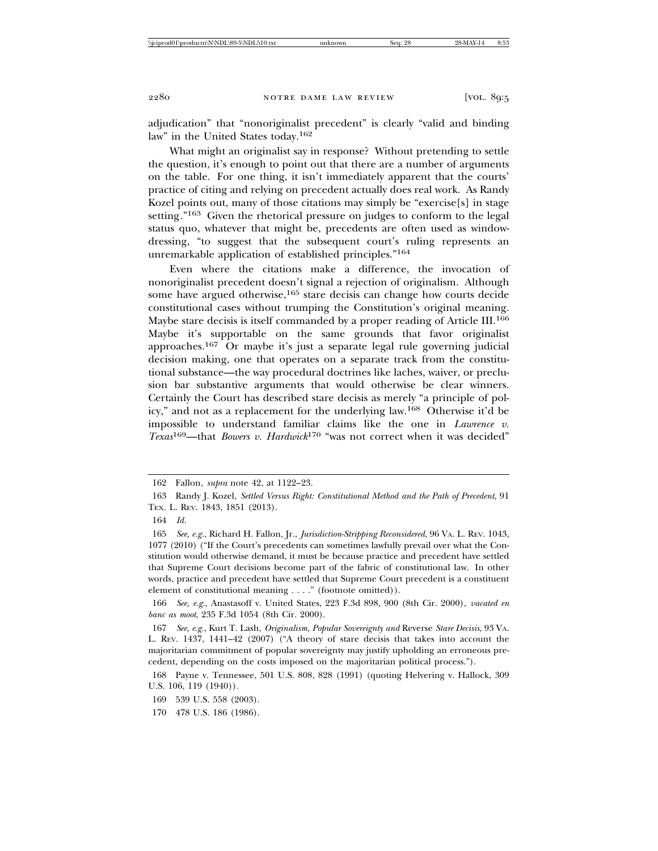adjudication" that "nonoriginalist precedent" is clearly "valid and binding law" in the United States today.162

What might an originalist say in response? Without pretending to settle the question, it's enough to point out that there are a number of arguments on the table. For one thing, it isn't immediately apparent that the courts' practice of citing and relying on precedent actually does real work. As Randy Kozel points out, many of those citations may simply be "exercise[s] in stage setting*.*"163 Given the rhetorical pressure on judges to conform to the legal status quo, whatever that might be, precedents are often used as windowdressing, "to suggest that the subsequent court's ruling represents an unremarkable application of established principles."164

Even where the citations make a difference, the invocation of nonoriginalist precedent doesn't signal a rejection of originalism. Although some have argued otherwise,<sup>165</sup> stare decisis can change how courts decide constitutional cases without trumping the Constitution's original meaning. Maybe stare decisis is itself commanded by a proper reading of Article III.166 Maybe it's supportable on the same grounds that favor originalist approaches.167 Or maybe it's just a separate legal rule governing judicial decision making, one that operates on a separate track from the constitutional substance—the way procedural doctrines like laches, waiver, or preclusion bar substantive arguments that would otherwise be clear winners. Certainly the Court has described stare decisis as merely "a principle of policy," and not as a replacement for the underlying law.168 Otherwise it'd be impossible to understand familiar claims like the one in *Lawrence v. Texas*169—that *Bowers v. Hardwick*170 "was not correct when it was decided"

166 *See, e.g.*, Anastasoff v. United States, 223 F.3d 898, 900 (8th Cir. 2000), *vacated en banc as moot*, 235 F.3d 1054 (8th Cir. 2000).

<sup>162</sup> Fallon, *supra* note 42, at 1122–23.

<sup>163</sup> Randy J. Kozel, *Settled Versus Right: Constitutional Method and the Path of Precedent*, 91 TEX. L. REV. 1843, 1851 (2013).

<sup>164</sup> *Id.*

<sup>165</sup> *See, e.g.*, Richard H. Fallon, Jr., *Jurisdiction-Stripping Reconsidered*, 96 VA. L. REV. 1043, 1077 (2010) ("If the Court's precedents can sometimes lawfully prevail over what the Constitution would otherwise demand, it must be because practice and precedent have settled that Supreme Court decisions become part of the fabric of constitutional law. In other words, practice and precedent have settled that Supreme Court precedent is a constituent element of constitutional meaning . . . ." (footnote omitted)).

<sup>167</sup> *See, e.g.*, Kurt T. Lash, *Originalism, Popular Sovereignty and* Reverse *Stare Decisis*, 93 VA. L. REV. 1437, 1441–42 (2007) ("A theory of stare decisis that takes into account the majoritarian commitment of popular sovereignty may justify upholding an erroneous precedent, depending on the costs imposed on the majoritarian political process.").

<sup>168</sup> Payne v. Tennessee, 501 U.S. 808, 828 (1991) (quoting Helvering v. Hallock, 309 U.S. 106, 119 (1940)).

<sup>169 539</sup> U.S. 558 (2003).

<sup>170 478</sup> U.S. 186 (1986).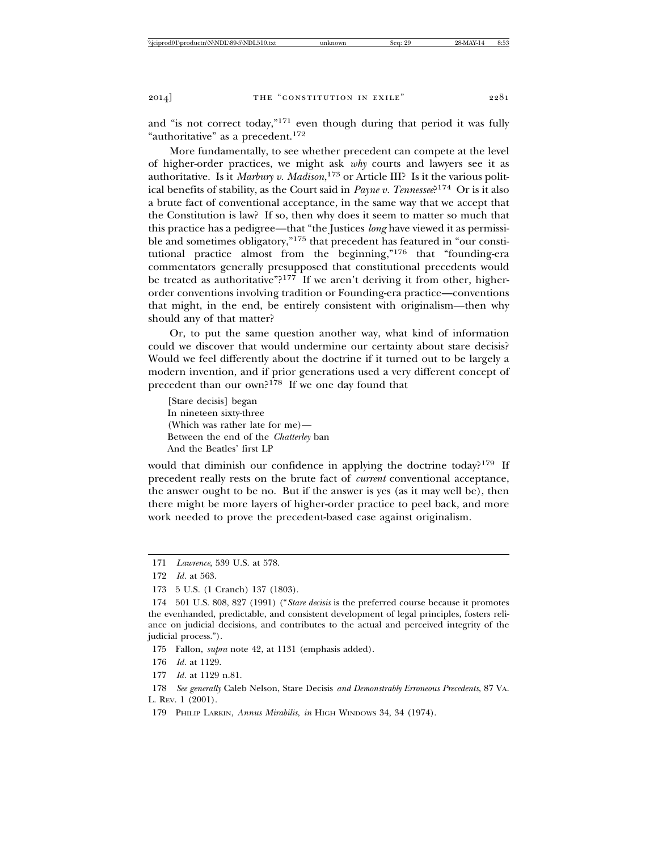and "is not correct today,"171 even though during that period it was fully "authoritative" as a precedent.<sup>172</sup>

More fundamentally, to see whether precedent can compete at the level of higher-order practices, we might ask *why* courts and lawyers see it as authoritative. Is it *Marbury v. Madison*, 173 or Article III? Is it the various political benefits of stability, as the Court said in *Payne v. Tennessee*?174 Or is it also a brute fact of conventional acceptance, in the same way that we accept that the Constitution is law? If so, then why does it seem to matter so much that this practice has a pedigree—that "the Justices *long* have viewed it as permissible and sometimes obligatory,"175 that precedent has featured in "our constitutional practice almost from the beginning,"176 that "founding-era commentators generally presupposed that constitutional precedents would be treated as authoritative"? $177$  If we aren't deriving it from other, higherorder conventions involving tradition or Founding-era practice—conventions that might, in the end, be entirely consistent with originalism—then why should any of that matter?

Or, to put the same question another way, what kind of information could we discover that would undermine our certainty about stare decisis? Would we feel differently about the doctrine if it turned out to be largely a modern invention, and if prior generations used a very different concept of precedent than our own?178 If we one day found that

[Stare decisis] began In nineteen sixty-three (Which was rather late for me)— Between the end of the *Chatterley* ban And the Beatles' first LP

would that diminish our confidence in applying the doctrine today?<sup>179</sup> If precedent really rests on the brute fact of *current* conventional acceptance, the answer ought to be no. But if the answer is yes (as it may well be), then there might be more layers of higher-order practice to peel back, and more work needed to prove the precedent-based case against originalism.

175 Fallon, *supra* note 42, at 1131 (emphasis added).

177 *Id.* at 1129 n.81.

<sup>171</sup> *Lawrence*, 539 U.S. at 578.

<sup>172</sup> *Id.* at 563.

<sup>173 5</sup> U.S. (1 Cranch) 137 (1803).

<sup>174 501</sup> U.S. 808, 827 (1991) ("*Stare decisis* is the preferred course because it promotes the evenhanded, predictable, and consistent development of legal principles, fosters reliance on judicial decisions, and contributes to the actual and perceived integrity of the judicial process.").

<sup>176</sup> *Id.* at 1129.

<sup>178</sup> *See generally* Caleb Nelson, Stare Decisis *and Demonstrably Erroneous Precedents*, 87 VA. L. REV. 1 (2001).

<sup>179</sup> PHILIP LARKIN, *Annus Mirabilis*, *in* HIGH WINDOWS 34, 34 (1974).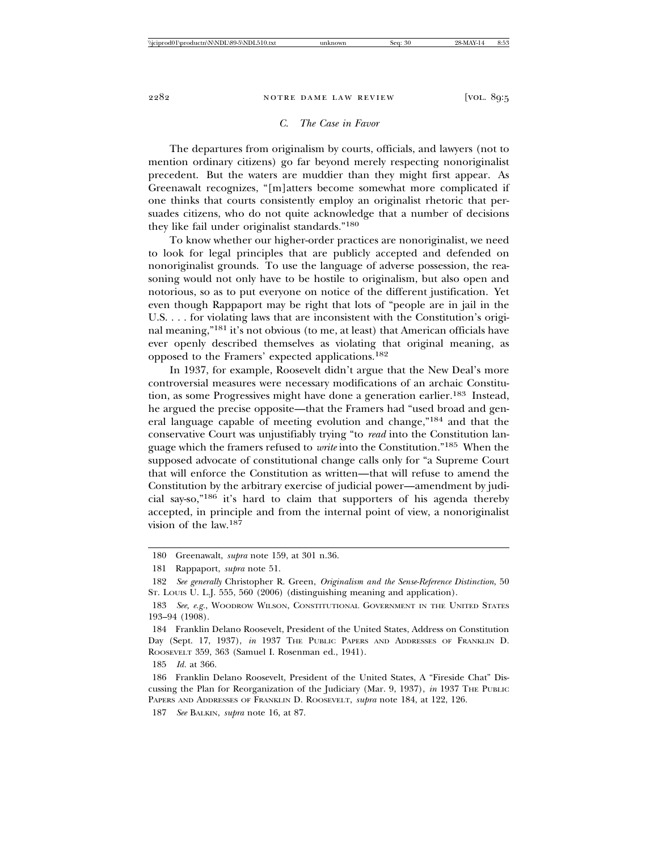## *C. The Case in Favor*

The departures from originalism by courts, officials, and lawyers (not to mention ordinary citizens) go far beyond merely respecting nonoriginalist precedent. But the waters are muddier than they might first appear. As Greenawalt recognizes, "[m]atters become somewhat more complicated if one thinks that courts consistently employ an originalist rhetoric that persuades citizens, who do not quite acknowledge that a number of decisions they like fail under originalist standards."180

To know whether our higher-order practices are nonoriginalist, we need to look for legal principles that are publicly accepted and defended on nonoriginalist grounds. To use the language of adverse possession, the reasoning would not only have to be hostile to originalism, but also open and notorious, so as to put everyone on notice of the different justification. Yet even though Rappaport may be right that lots of "people are in jail in the U.S. . . . for violating laws that are inconsistent with the Constitution's original meaning,"181 it's not obvious (to me, at least) that American officials have ever openly described themselves as violating that original meaning, as opposed to the Framers' expected applications.182

In 1937, for example, Roosevelt didn't argue that the New Deal's more controversial measures were necessary modifications of an archaic Constitution, as some Progressives might have done a generation earlier.<sup>183</sup> Instead, he argued the precise opposite—that the Framers had "used broad and general language capable of meeting evolution and change,"184 and that the conservative Court was unjustifiably trying "to *read* into the Constitution language which the framers refused to *write* into the Constitution."185 When the supposed advocate of constitutional change calls only for "a Supreme Court that will enforce the Constitution as written—that will refuse to amend the Constitution by the arbitrary exercise of judicial power—amendment by judicial say-so,"186 it's hard to claim that supporters of his agenda thereby accepted, in principle and from the internal point of view, a nonoriginalist vision of the law.187

185 *Id.* at 366.

<sup>180</sup> Greenawalt, *supra* note 159, at 301 n.36.

<sup>181</sup> Rappaport, *supra* note 51.

<sup>182</sup> *See generally* Christopher R. Green, *Originalism and the Sense-Reference Distinction*, 50 ST. LOUIS U. L.J. 555, 560 (2006) (distinguishing meaning and application).

<sup>183</sup> *See, e.g.*, WOODROW WILSON, CONSTITUTIONAL GOVERNMENT IN THE UNITED STATES 193–94 (1908).

<sup>184</sup> Franklin Delano Roosevelt, President of the United States, Address on Constitution Day (Sept. 17, 1937), *in* 1937 THE PUBLIC PAPERS AND ADDRESSES OF FRANKLIN D. ROOSEVELT 359, 363 (Samuel I. Rosenman ed., 1941).

<sup>186</sup> Franklin Delano Roosevelt, President of the United States, A "Fireside Chat" Discussing the Plan for Reorganization of the Judiciary (Mar. 9, 1937), *in* 1937 THE PUBLIC PAPERS AND ADDRESSES OF FRANKLIN D. ROOSEVELT, *supra* note 184, at 122, 126.

<sup>187</sup> *See* BALKIN, *supra* note 16, at 87.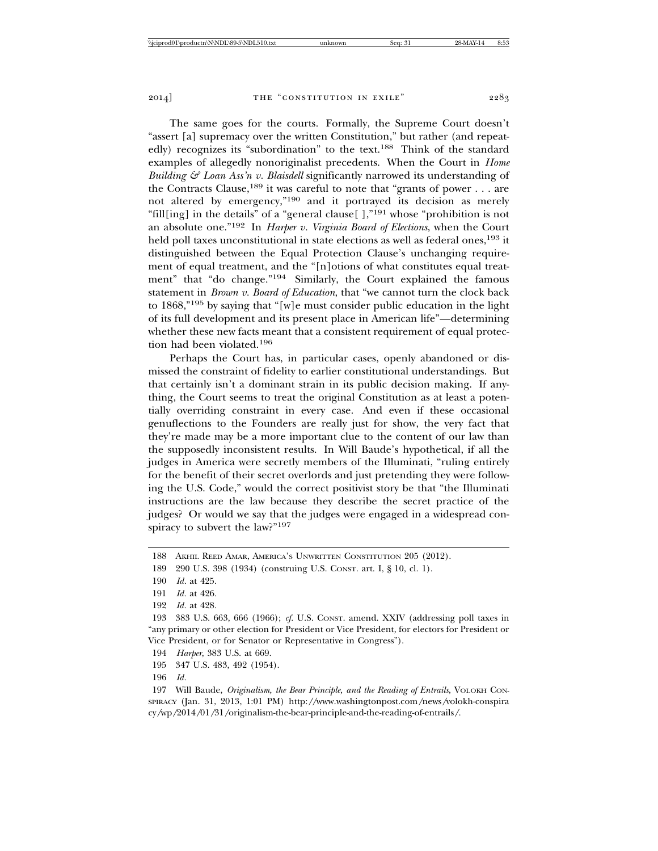The same goes for the courts. Formally, the Supreme Court doesn't "assert [a] supremacy over the written Constitution," but rather (and repeatedly) recognizes its "subordination" to the text.<sup>188</sup> Think of the standard examples of allegedly nonoriginalist precedents. When the Court in *Home Building & Loan Ass'n v. Blaisdell* significantly narrowed its understanding of the Contracts Clause,<sup>189</sup> it was careful to note that "grants of power . . . are not altered by emergency,"190 and it portrayed its decision as merely "fill[ing] in the details" of a "general clause[ ],"191 whose "prohibition is not an absolute one."192 In *Harper v. Virginia Board of Elections*, when the Court held poll taxes unconstitutional in state elections as well as federal ones,<sup>193</sup> it distinguished between the Equal Protection Clause's unchanging requirement of equal treatment, and the "[n]otions of what constitutes equal treatment" that "do change."194 Similarly, the Court explained the famous statement in *Brown v. Board of Education*, that "we cannot turn the clock back to 1868,"195 by saying that "[w]e must consider public education in the light of its full development and its present place in American life"—determining whether these new facts meant that a consistent requirement of equal protection had been violated.196

Perhaps the Court has, in particular cases, openly abandoned or dismissed the constraint of fidelity to earlier constitutional understandings. But that certainly isn't a dominant strain in its public decision making. If anything, the Court seems to treat the original Constitution as at least a potentially overriding constraint in every case. And even if these occasional genuflections to the Founders are really just for show, the very fact that they're made may be a more important clue to the content of our law than the supposedly inconsistent results. In Will Baude's hypothetical, if all the judges in America were secretly members of the Illuminati, "ruling entirely for the benefit of their secret overlords and just pretending they were following the U.S. Code," would the correct positivist story be that "the Illuminati instructions are the law because they describe the secret practice of the judges? Or would we say that the judges were engaged in a widespread conspiracy to subvert the law?"197

194 *Harper*, 383 U.S. at 669.

195 347 U.S. 483, 492 (1954).

<sup>188</sup> AKHIL REED AMAR, AMERICA'S UNWRITTEN CONSTITUTION 205 (2012).

<sup>189 290</sup> U.S. 398 (1934) (construing U.S. CONST. art. I, § 10, cl. 1).

<sup>190</sup> *Id.* at 425.

<sup>191</sup> *Id.* at 426.

<sup>192</sup> *Id.* at 428.

<sup>193 383</sup> U.S. 663, 666 (1966); *cf.* U.S. CONST. amend. XXIV (addressing poll taxes in "any primary or other election for President or Vice President, for electors for President or Vice President, or for Senator or Representative in Congress").

<sup>196</sup> *Id.*

<sup>197</sup> Will Baude, *Originalism, the Bear Principle, and the Reading of Entrails*, VOLOKH CON-SPIRACY (Jan. 31, 2013, 1:01 PM) http:*//*www.washingtonpost.com*/*news*/*volokh-conspira cy*/*wp*/*2014*/*01*/*31*/*originalism-the-bear-principle-and-the-reading-of-entrails*/*.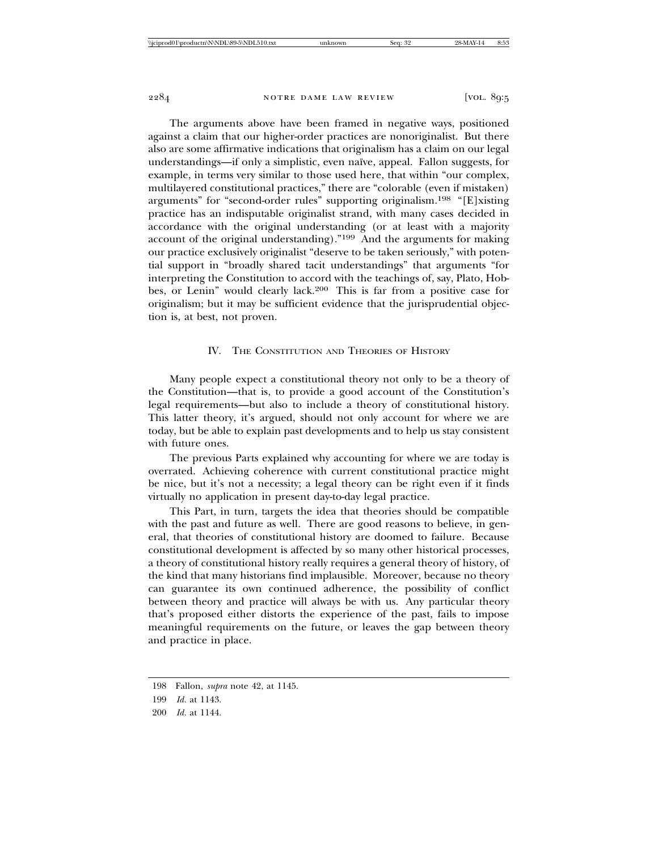The arguments above have been framed in negative ways, positioned against a claim that our higher-order practices are nonoriginalist. But there also are some affirmative indications that originalism has a claim on our legal understandings—if only a simplistic, even naïve, appeal. Fallon suggests, for example, in terms very similar to those used here, that within "our complex, multilayered constitutional practices," there are "colorable (even if mistaken) arguments" for "second-order rules" supporting originalism.198 "[E]xisting practice has an indisputable originalist strand, with many cases decided in accordance with the original understanding (or at least with a majority account of the original understanding)."199 And the arguments for making our practice exclusively originalist "deserve to be taken seriously," with potential support in "broadly shared tacit understandings" that arguments "for interpreting the Constitution to accord with the teachings of, say, Plato, Hobbes, or Lenin" would clearly lack.200 This is far from a positive case for originalism; but it may be sufficient evidence that the jurisprudential objection is, at best, not proven.

## IV. THE CONSTITUTION AND THEORIES OF HISTORY

Many people expect a constitutional theory not only to be a theory of the Constitution—that is, to provide a good account of the Constitution's legal requirements—but also to include a theory of constitutional history. This latter theory, it's argued, should not only account for where we are today, but be able to explain past developments and to help us stay consistent with future ones.

The previous Parts explained why accounting for where we are today is overrated. Achieving coherence with current constitutional practice might be nice, but it's not a necessity; a legal theory can be right even if it finds virtually no application in present day-to-day legal practice.

This Part, in turn, targets the idea that theories should be compatible with the past and future as well. There are good reasons to believe, in general, that theories of constitutional history are doomed to failure. Because constitutional development is affected by so many other historical processes, a theory of constitutional history really requires a general theory of history, of the kind that many historians find implausible. Moreover, because no theory can guarantee its own continued adherence, the possibility of conflict between theory and practice will always be with us. Any particular theory that's proposed either distorts the experience of the past, fails to impose meaningful requirements on the future, or leaves the gap between theory and practice in place.

<sup>198</sup> Fallon, *supra* note 42, at 1145.

<sup>199</sup> *Id.* at 1143.

<sup>200</sup> *Id.* at 1144.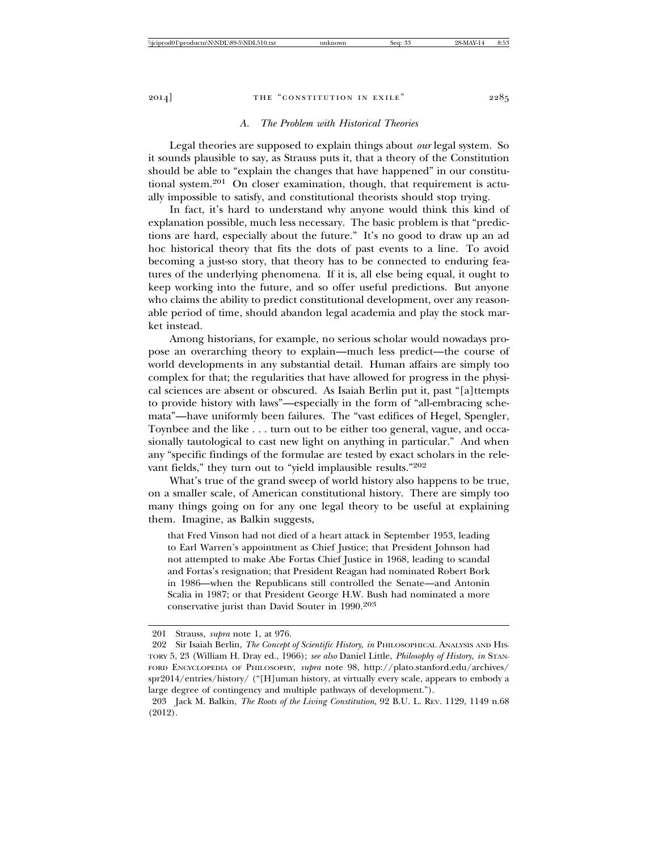## *A. The Problem with Historical Theories*

Legal theories are supposed to explain things about *our* legal system. So it sounds plausible to say, as Strauss puts it, that a theory of the Constitution should be able to "explain the changes that have happened" in our constitutional system.201 On closer examination, though, that requirement is actually impossible to satisfy, and constitutional theorists should stop trying.

In fact, it's hard to understand why anyone would think this kind of explanation possible, much less necessary. The basic problem is that "predictions are hard, especially about the future." It's no good to draw up an ad hoc historical theory that fits the dots of past events to a line. To avoid becoming a just-so story, that theory has to be connected to enduring features of the underlying phenomena. If it is, all else being equal, it ought to keep working into the future, and so offer useful predictions. But anyone who claims the ability to predict constitutional development, over any reasonable period of time, should abandon legal academia and play the stock market instead.

Among historians, for example, no serious scholar would nowadays propose an overarching theory to explain—much less predict—the course of world developments in any substantial detail. Human affairs are simply too complex for that; the regularities that have allowed for progress in the physical sciences are absent or obscured. As Isaiah Berlin put it, past "[a]ttempts to provide history with laws"—especially in the form of "all-embracing schemata"—have uniformly been failures. The "vast edifices of Hegel, Spengler, Toynbee and the like . . . turn out to be either too general, vague, and occasionally tautological to cast new light on anything in particular." And when any "specific findings of the formulae are tested by exact scholars in the relevant fields," they turn out to "yield implausible results."202

What's true of the grand sweep of world history also happens to be true, on a smaller scale, of American constitutional history. There are simply too many things going on for any one legal theory to be useful at explaining them. Imagine, as Balkin suggests,

that Fred Vinson had not died of a heart attack in September 1953, leading to Earl Warren's appointment as Chief Justice; that President Johnson had not attempted to make Abe Fortas Chief Justice in 1968, leading to scandal and Fortas's resignation; that President Reagan had nominated Robert Bork in 1986—when the Republicans still controlled the Senate—and Antonin Scalia in 1987; or that President George H.W. Bush had nominated a more conservative jurist than David Souter in 1990.203

<sup>201</sup> Strauss, *supra* note 1, at 976.

<sup>202</sup> Sir Isaiah Berlin, *The Concept of Scientific History*, *in* PHILOSOPHICAL ANALYSIS AND HIS-TORY 5, 23 (William H. Dray ed., 1966); *see also* Daniel Little, *Philosophy of History*, *in* STAN-FORD ENCYCLOPEDIA OF PHILOSOPHY, *supra* note 98, http://plato.stanford.edu/archives/ spr2014/entries/history/ ("[H]uman history, at virtually every scale, appears to embody a large degree of contingency and multiple pathways of development.").

<sup>203</sup> Jack M. Balkin, *The Roots of the Living Constitution*, 92 B.U. L. REV. 1129, 1149 n.68 (2012).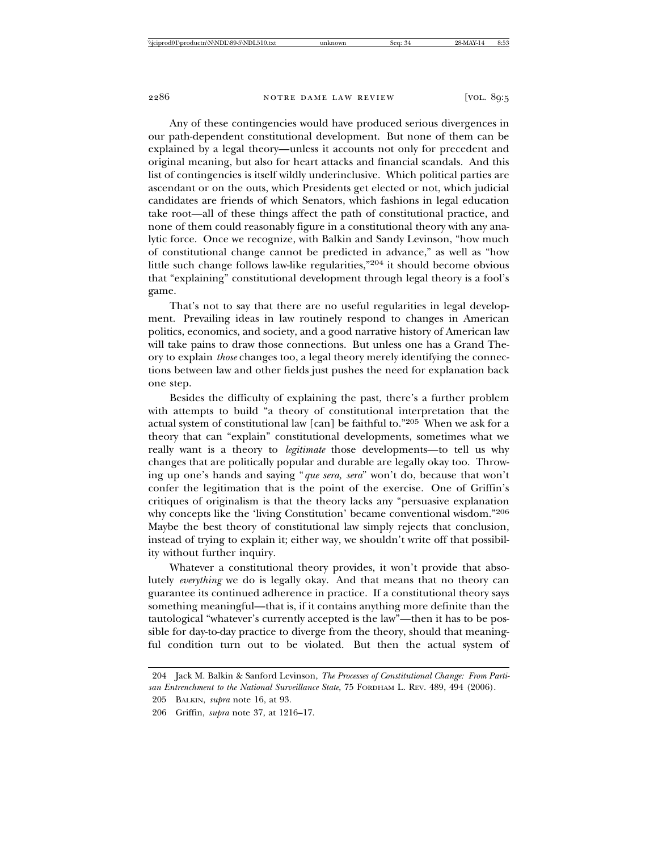Any of these contingencies would have produced serious divergences in our path-dependent constitutional development. But none of them can be explained by a legal theory—unless it accounts not only for precedent and original meaning, but also for heart attacks and financial scandals. And this list of contingencies is itself wildly underinclusive. Which political parties are ascendant or on the outs, which Presidents get elected or not, which judicial candidates are friends of which Senators, which fashions in legal education take root—all of these things affect the path of constitutional practice, and none of them could reasonably figure in a constitutional theory with any analytic force. Once we recognize, with Balkin and Sandy Levinson, "how much of constitutional change cannot be predicted in advance," as well as "how little such change follows law-like regularities,"204 it should become obvious that "explaining" constitutional development through legal theory is a fool's game.

That's not to say that there are no useful regularities in legal development. Prevailing ideas in law routinely respond to changes in American politics, economics, and society, and a good narrative history of American law will take pains to draw those connections. But unless one has a Grand Theory to explain *those* changes too, a legal theory merely identifying the connections between law and other fields just pushes the need for explanation back one step.

Besides the difficulty of explaining the past, there's a further problem with attempts to build "a theory of constitutional interpretation that the actual system of constitutional law [can] be faithful to."205 When we ask for a theory that can "explain" constitutional developments, sometimes what we really want is a theory to *legitimate* those developments—to tell us why changes that are politically popular and durable are legally okay too. Throwing up one's hands and saying "*que sera, sera*" won't do, because that won't confer the legitimation that is the point of the exercise. One of Griffin's critiques of originalism is that the theory lacks any "persuasive explanation why concepts like the 'living Constitution' became conventional wisdom."206 Maybe the best theory of constitutional law simply rejects that conclusion, instead of trying to explain it; either way, we shouldn't write off that possibility without further inquiry.

Whatever a constitutional theory provides, it won't provide that absolutely *everything* we do is legally okay. And that means that no theory can guarantee its continued adherence in practice. If a constitutional theory says something meaningful—that is, if it contains anything more definite than the tautological "whatever's currently accepted is the law"—then it has to be possible for day-to-day practice to diverge from the theory, should that meaningful condition turn out to be violated. But then the actual system of

<sup>204</sup> Jack M. Balkin & Sanford Levinson, *The Processes of Constitutional Change: From Partisan Entrenchment to the National Surveillance State*, 75 FORDHAM L. REV. 489, 494 (2006).

<sup>205</sup> BALKIN, *supra* note 16, at 93.

<sup>206</sup> Griffin, *supra* note 37, at 1216–17.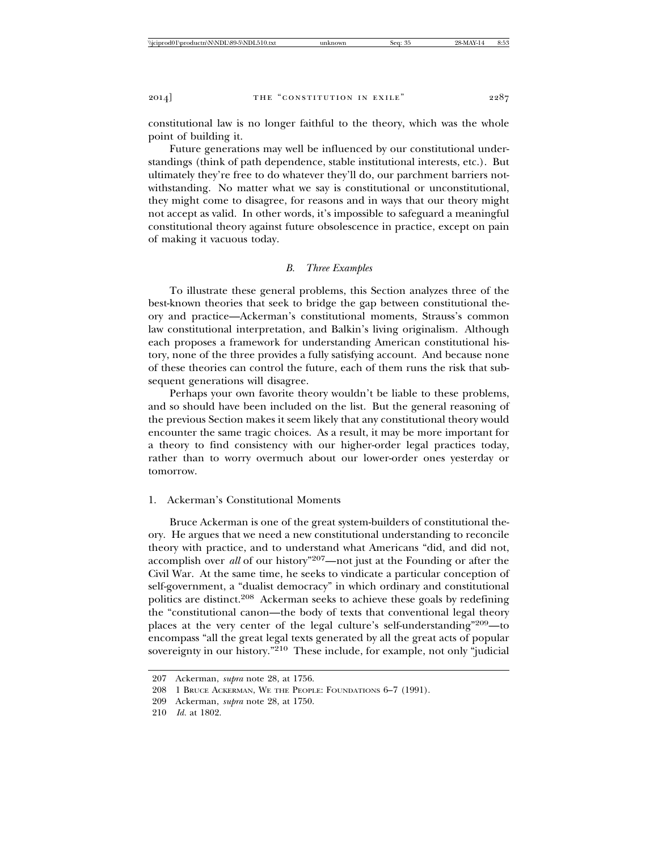constitutional law is no longer faithful to the theory, which was the whole point of building it.

Future generations may well be influenced by our constitutional understandings (think of path dependence, stable institutional interests, etc.). But ultimately they're free to do whatever they'll do, our parchment barriers notwithstanding. No matter what we say is constitutional or unconstitutional, they might come to disagree, for reasons and in ways that our theory might not accept as valid. In other words, it's impossible to safeguard a meaningful constitutional theory against future obsolescence in practice, except on pain of making it vacuous today.

## *B. Three Examples*

To illustrate these general problems, this Section analyzes three of the best-known theories that seek to bridge the gap between constitutional theory and practice—Ackerman's constitutional moments, Strauss's common law constitutional interpretation, and Balkin's living originalism. Although each proposes a framework for understanding American constitutional history, none of the three provides a fully satisfying account. And because none of these theories can control the future, each of them runs the risk that subsequent generations will disagree.

Perhaps your own favorite theory wouldn't be liable to these problems, and so should have been included on the list. But the general reasoning of the previous Section makes it seem likely that any constitutional theory would encounter the same tragic choices. As a result, it may be more important for a theory to find consistency with our higher-order legal practices today, rather than to worry overmuch about our lower-order ones yesterday or tomorrow.

# 1. Ackerman's Constitutional Moments

Bruce Ackerman is one of the great system-builders of constitutional theory. He argues that we need a new constitutional understanding to reconcile theory with practice, and to understand what Americans "did, and did not, accomplish over *all* of our history"207—not just at the Founding or after the Civil War. At the same time, he seeks to vindicate a particular conception of self-government, a "dualist democracy" in which ordinary and constitutional politics are distinct.208 Ackerman seeks to achieve these goals by redefining the "constitutional canon—the body of texts that conventional legal theory places at the very center of the legal culture's self-understanding"209—to encompass "all the great legal texts generated by all the great acts of popular sovereignty in our history."<sup>210</sup> These include, for example, not only "judicial

<sup>207</sup> Ackerman, *supra* note 28, at 1756.

<sup>208 1</sup> BRUCE ACKERMAN, WE THE PEOPLE: FOUNDATIONS 6–7 (1991).

<sup>209</sup> Ackerman, *supra* note 28, at 1750.

<sup>210</sup> *Id.* at 1802.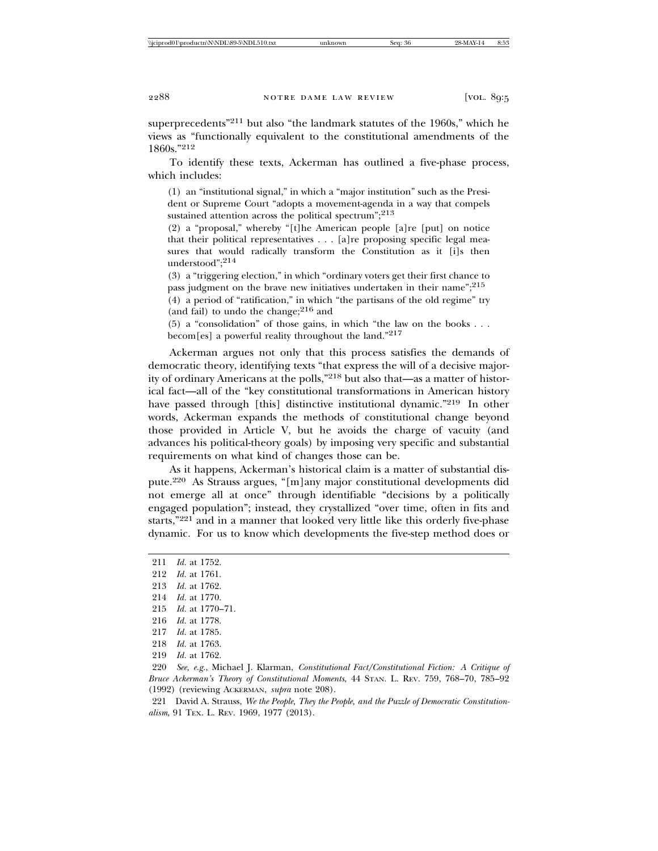superprecedents"211 but also "the landmark statutes of the 1960s," which he views as "functionally equivalent to the constitutional amendments of the 1860s."<sup>212</sup>

To identify these texts, Ackerman has outlined a five-phase process, which includes:

(1) an "institutional signal," in which a "major institution" such as the President or Supreme Court "adopts a movement-agenda in a way that compels sustained attention across the political spectrum"; $^{213}$ 

(2) a "proposal," whereby "[t]he American people [a]re [put] on notice that their political representatives . . . [a]re proposing specific legal measures that would radically transform the Constitution as it [i]s then understood";214

(3) a "triggering election," in which "ordinary voters get their first chance to pass judgment on the brave new initiatives undertaken in their name";<sup>215</sup>

(4) a period of "ratification," in which "the partisans of the old regime" try (and fail) to undo the change;  $2^{16}$  and

(5) a "consolidation" of those gains, in which "the law on the books . . . becom[es] a powerful reality throughout the land."217

Ackerman argues not only that this process satisfies the demands of democratic theory, identifying texts "that express the will of a decisive majority of ordinary Americans at the polls,"218 but also that—as a matter of historical fact—all of the "key constitutional transformations in American history have passed through [this] distinctive institutional dynamic."<sup>219</sup> In other words, Ackerman expands the methods of constitutional change beyond those provided in Article V, but he avoids the charge of vacuity (and advances his political-theory goals) by imposing very specific and substantial requirements on what kind of changes those can be.

As it happens, Ackerman's historical claim is a matter of substantial dispute.220 As Strauss argues, "[m]any major constitutional developments did not emerge all at once" through identifiable "decisions by a politically engaged population"; instead, they crystallized "over time, often in fits and starts,"221 and in a manner that looked very little like this orderly five-phase dynamic. For us to know which developments the five-step method does or

211 *Id.* at 1752. 212 *Id.* at 1761.

- 
- 213 *Id.* at 1762.
- 214 *Id.* at 1770.
- 215 *Id.* at 1770–71.
- 216 *Id.* at 1778.

221 David A. Strauss, *We the People, They the People, and the Puzzle of Democratic Constitutionalism*, 91 TEX. L. REV. 1969, 1977 (2013).

<sup>217</sup> *Id.* at 1785.

<sup>218</sup> *Id.* at 1763.

<sup>219</sup> *Id.* at 1762.

<sup>220</sup> *See, e.g.*, Michael J. Klarman, *Constitutional Fact/Constitutional Fiction: A Critique of Bruce Ackerman's Theory of Constitutional Moments*, 44 STAN. L. REV. 759, 768–70, 785–92 (1992) (reviewing ACKERMAN, *supra* note 208).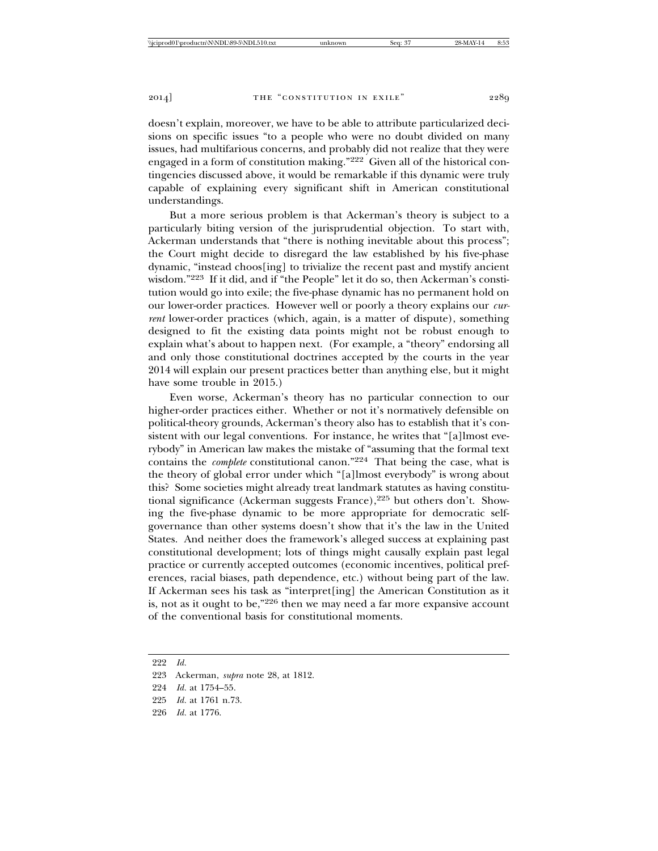doesn't explain, moreover, we have to be able to attribute particularized decisions on specific issues "to a people who were no doubt divided on many issues, had multifarious concerns, and probably did not realize that they were engaged in a form of constitution making."222 Given all of the historical contingencies discussed above, it would be remarkable if this dynamic were truly capable of explaining every significant shift in American constitutional understandings.

But a more serious problem is that Ackerman's theory is subject to a particularly biting version of the jurisprudential objection. To start with, Ackerman understands that "there is nothing inevitable about this process"; the Court might decide to disregard the law established by his five-phase dynamic, "instead choos[ing] to trivialize the recent past and mystify ancient wisdom."223 If it did, and if "the People" let it do so, then Ackerman's constitution would go into exile; the five-phase dynamic has no permanent hold on our lower-order practices. However well or poorly a theory explains our *current* lower-order practices (which, again, is a matter of dispute), something designed to fit the existing data points might not be robust enough to explain what's about to happen next. (For example, a "theory" endorsing all and only those constitutional doctrines accepted by the courts in the year 2014 will explain our present practices better than anything else, but it might have some trouble in 2015.)

Even worse, Ackerman's theory has no particular connection to our higher-order practices either. Whether or not it's normatively defensible on political-theory grounds, Ackerman's theory also has to establish that it's consistent with our legal conventions. For instance, he writes that "[a]lmost everybody" in American law makes the mistake of "assuming that the formal text contains the *complete* constitutional canon."224 That being the case, what is the theory of global error under which "[a]lmost everybody" is wrong about this? Some societies might already treat landmark statutes as having constitutional significance (Ackerman suggests France),<sup>225</sup> but others don't. Showing the five-phase dynamic to be more appropriate for democratic selfgovernance than other systems doesn't show that it's the law in the United States. And neither does the framework's alleged success at explaining past constitutional development; lots of things might causally explain past legal practice or currently accepted outcomes (economic incentives, political preferences, racial biases, path dependence, etc.) without being part of the law. If Ackerman sees his task as "interpret[ing] the American Constitution as it is, not as it ought to be,"226 then we may need a far more expansive account of the conventional basis for constitutional moments.

<sup>222</sup> *Id.*

<sup>223</sup> Ackerman, *supra* note 28, at 1812.

<sup>224</sup> *Id.* at 1754–55.

<sup>225</sup> *Id.* at 1761 n.73.

<sup>226</sup> *Id.* at 1776.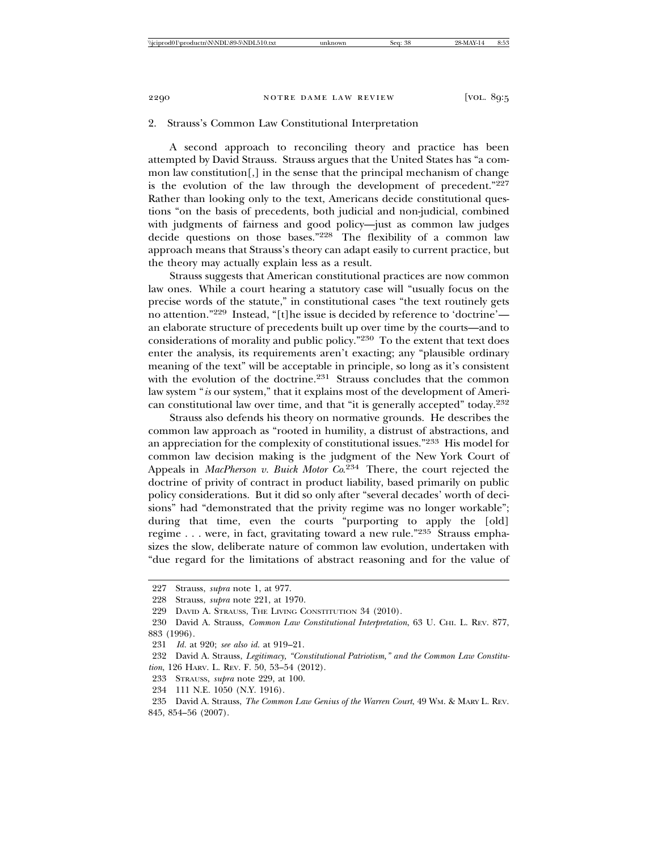#### 2. Strauss's Common Law Constitutional Interpretation

A second approach to reconciling theory and practice has been attempted by David Strauss. Strauss argues that the United States has "a common law constitution[,] in the sense that the principal mechanism of change is the evolution of the law through the development of precedent."227 Rather than looking only to the text, Americans decide constitutional questions "on the basis of precedents, both judicial and non-judicial, combined with judgments of fairness and good policy—just as common law judges decide questions on those bases."228 The flexibility of a common law approach means that Strauss's theory can adapt easily to current practice, but the theory may actually explain less as a result.

Strauss suggests that American constitutional practices are now common law ones. While a court hearing a statutory case will "usually focus on the precise words of the statute," in constitutional cases "the text routinely gets no attention."229 Instead, "[t]he issue is decided by reference to 'doctrine' an elaborate structure of precedents built up over time by the courts—and to considerations of morality and public policy."230 To the extent that text does enter the analysis, its requirements aren't exacting; any "plausible ordinary meaning of the text" will be acceptable in principle, so long as it's consistent with the evolution of the doctrine.<sup>231</sup> Strauss concludes that the common law system "*is* our system," that it explains most of the development of American constitutional law over time, and that "it is generally accepted" today.232

Strauss also defends his theory on normative grounds. He describes the common law approach as "rooted in humility, a distrust of abstractions, and an appreciation for the complexity of constitutional issues."233 His model for common law decision making is the judgment of the New York Court of Appeals in *MacPherson v. Buick Motor Co*. 234 There, the court rejected the doctrine of privity of contract in product liability, based primarily on public policy considerations. But it did so only after "several decades' worth of decisions" had "demonstrated that the privity regime was no longer workable"; during that time, even the courts "purporting to apply the [old] regime . . . were, in fact, gravitating toward a new rule."235 Strauss emphasizes the slow, deliberate nature of common law evolution, undertaken with "due regard for the limitations of abstract reasoning and for the value of

<sup>227</sup> Strauss, *supra* note 1, at 977.

<sup>228</sup> Strauss, *supra* note 221, at 1970.

<sup>229</sup> DAVID A. STRAUSS, THE LIVING CONSTITUTION 34 (2010).

<sup>230</sup> David A. Strauss, *Common Law Constitutional Interpretation*, 63 U. CHI. L. REV. 877, 883 (1996).

<sup>231</sup> *Id.* at 920; *see also id.* at 919–21.

<sup>232</sup> David A. Strauss, *Legitimacy, "Constitutional Patriotism," and the Common Law Constitution*, 126 HARV. L. REV. F. 50, 53–54 (2012).

<sup>233</sup> STRAUSS, *supra* note 229, at 100.

<sup>234 111</sup> N.E. 1050 (N.Y. 1916).

<sup>235</sup> David A. Strauss, *The Common Law Genius of the Warren Court*, 49 WM. & MARY L. REV. 845, 854–56 (2007).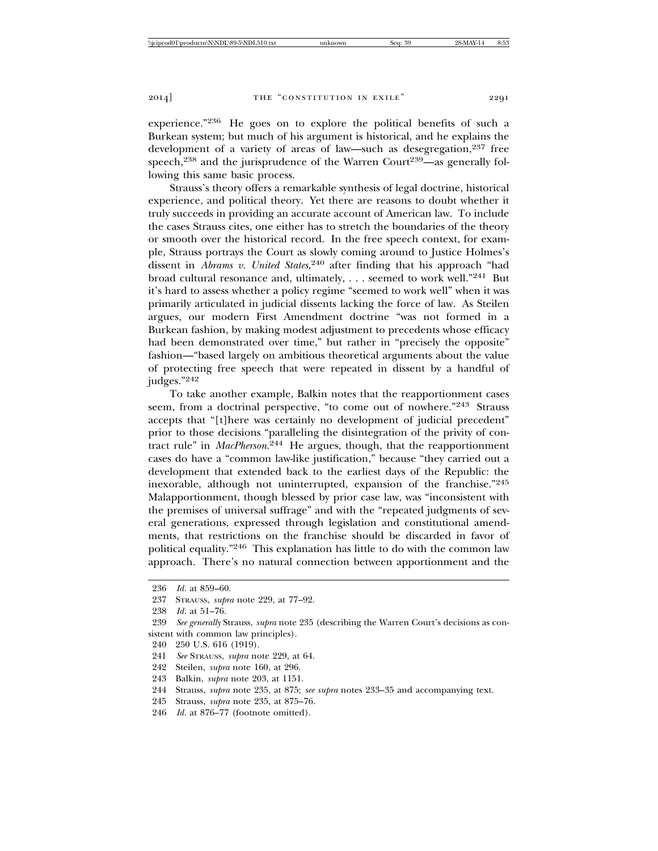experience."236 He goes on to explore the political benefits of such a Burkean system; but much of his argument is historical, and he explains the development of a variety of areas of law—such as desegregation,<sup>237</sup> free speech,<sup>238</sup> and the jurisprudence of the Warren Court<sup>239</sup>—as generally following this same basic process.

Strauss's theory offers a remarkable synthesis of legal doctrine, historical experience, and political theory. Yet there are reasons to doubt whether it truly succeeds in providing an accurate account of American law. To include the cases Strauss cites, one either has to stretch the boundaries of the theory or smooth over the historical record. In the free speech context, for example, Strauss portrays the Court as slowly coming around to Justice Holmes's dissent in *Abrams v. United States*, 240 after finding that his approach "had broad cultural resonance and, ultimately, . . . seemed to work well."241 But it's hard to assess whether a policy regime "seemed to work well" when it was primarily articulated in judicial dissents lacking the force of law. As Steilen argues, our modern First Amendment doctrine "was not formed in a Burkean fashion, by making modest adjustment to precedents whose efficacy had been demonstrated over time," but rather in "precisely the opposite" fashion—"based largely on ambitious theoretical arguments about the value of protecting free speech that were repeated in dissent by a handful of judges."<sup>242</sup>

To take another example, Balkin notes that the reapportionment cases seem, from a doctrinal perspective, "to come out of nowhere."243 Strauss accepts that "[t]here was certainly no development of judicial precedent" prior to those decisions "paralleling the disintegration of the privity of contract rule" in *MacPherson*. 244 He argues, though, that the reapportionment cases do have a "common law-like justification," because "they carried out a development that extended back to the earliest days of the Republic: the inexorable, although not uninterrupted, expansion of the franchise."245 Malapportionment, though blessed by prior case law, was "inconsistent with the premises of universal suffrage" and with the "repeated judgments of several generations, expressed through legislation and constitutional amendments, that restrictions on the franchise should be discarded in favor of political equality."246 This explanation has little to do with the common law approach. There's no natural connection between apportionment and the

<sup>236</sup> *Id.* at 859–60.

<sup>237</sup> STRAUSS, *supra* note 229, at 77–92.

<sup>238</sup> *Id.* at 51–76.

<sup>239</sup> *See generally* Strauss, *supra* note 235 (describing the Warren Court's decisions as consistent with common law principles).

<sup>240 250</sup> U.S. 616 (1919).

<sup>241</sup> *See* STRAUSS, *supra* note 229, at 64.

<sup>242</sup> Steilen, *supra* note 160, at 296.

<sup>243</sup> Balkin, *supra* note 203, at 1151.

<sup>244</sup> Strauss, *supra* note 235, at 875; *see supra* notes 233–35 and accompanying text.

<sup>245</sup> Strauss, *supra* note 235, at 875–76.

<sup>246</sup> *Id.* at 876–77 (footnote omitted).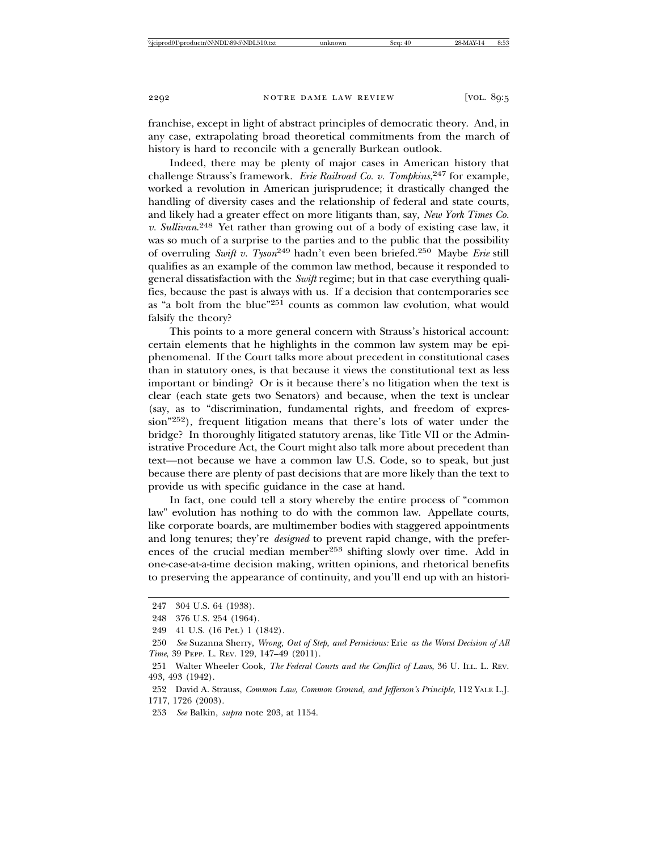franchise, except in light of abstract principles of democratic theory. And, in any case, extrapolating broad theoretical commitments from the march of history is hard to reconcile with a generally Burkean outlook.

Indeed, there may be plenty of major cases in American history that challenge Strauss's framework. *Erie Railroad Co. v. Tompkins*, 247 for example, worked a revolution in American jurisprudence; it drastically changed the handling of diversity cases and the relationship of federal and state courts, and likely had a greater effect on more litigants than, say, *New York Times Co. v. Sullivan*. 248 Yet rather than growing out of a body of existing case law, it was so much of a surprise to the parties and to the public that the possibility of overruling *Swift v. Tyson*249 hadn't even been briefed.250 Maybe *Erie* still qualifies as an example of the common law method, because it responded to general dissatisfaction with the *Swift* regime; but in that case everything qualifies, because the past is always with us. If a decision that contemporaries see as "a bolt from the blue"251 counts as common law evolution, what would falsify the theory?

This points to a more general concern with Strauss's historical account: certain elements that he highlights in the common law system may be epiphenomenal. If the Court talks more about precedent in constitutional cases than in statutory ones, is that because it views the constitutional text as less important or binding? Or is it because there's no litigation when the text is clear (each state gets two Senators) and because, when the text is unclear (say, as to "discrimination, fundamental rights, and freedom of expression"252), frequent litigation means that there's lots of water under the bridge? In thoroughly litigated statutory arenas, like Title VII or the Administrative Procedure Act, the Court might also talk more about precedent than text—not because we have a common law U.S. Code, so to speak, but just because there are plenty of past decisions that are more likely than the text to provide us with specific guidance in the case at hand.

In fact, one could tell a story whereby the entire process of "common law" evolution has nothing to do with the common law. Appellate courts, like corporate boards, are multimember bodies with staggered appointments and long tenures; they're *designed* to prevent rapid change, with the preferences of the crucial median member253 shifting slowly over time. Add in one-case-at-a-time decision making, written opinions, and rhetorical benefits to preserving the appearance of continuity, and you'll end up with an histori-

<sup>247 304</sup> U.S. 64 (1938).

<sup>248 376</sup> U.S. 254 (1964).

<sup>249 41</sup> U.S. (16 Pet.) 1 (1842).

<sup>250</sup> *See* Suzanna Sherry, *Wrong, Out of Step, and Pernicious:* Erie *as the Worst Decision of All Time*, 39 PEPP. L. REV. 129, 147–49 (2011).

<sup>251</sup> Walter Wheeler Cook, *The Federal Courts and the Conflict of Laws*, 36 U. ILL. L. REV. 493, 493 (1942).

<sup>252</sup> David A. Strauss, *Common Law, Common Ground, and Jefferson's Principle*, 112 YALE L.J. 1717, 1726 (2003).

<sup>253</sup> *See* Balkin, *supra* note 203, at 1154.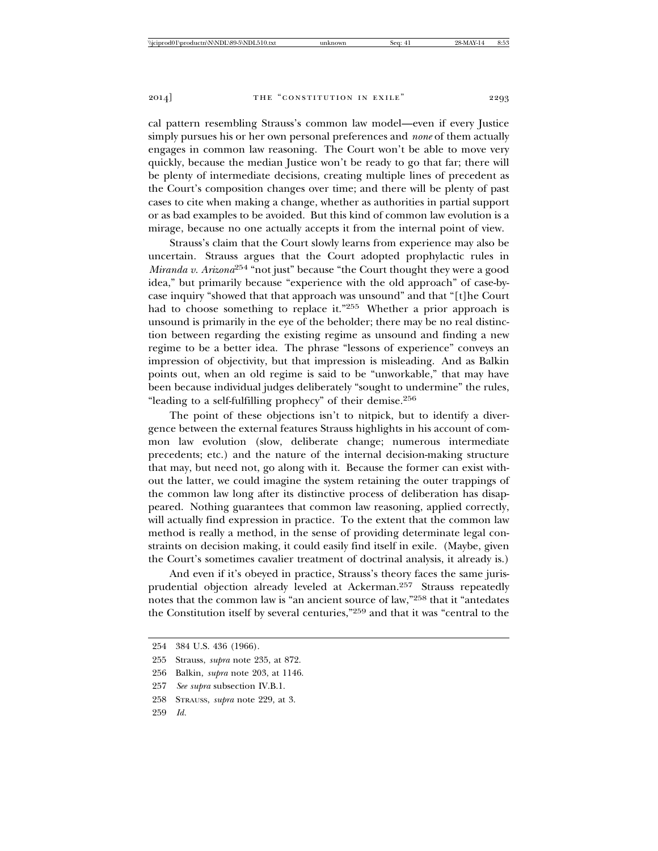cal pattern resembling Strauss's common law model—even if every Justice simply pursues his or her own personal preferences and *none* of them actually engages in common law reasoning. The Court won't be able to move very quickly, because the median Justice won't be ready to go that far; there will be plenty of intermediate decisions, creating multiple lines of precedent as the Court's composition changes over time; and there will be plenty of past cases to cite when making a change, whether as authorities in partial support or as bad examples to be avoided. But this kind of common law evolution is a mirage, because no one actually accepts it from the internal point of view.

Strauss's claim that the Court slowly learns from experience may also be uncertain. Strauss argues that the Court adopted prophylactic rules in *Miranda v. Arizona*254 "not just" because "the Court thought they were a good idea," but primarily because "experience with the old approach" of case-bycase inquiry "showed that that approach was unsound" and that "[t]he Court had to choose something to replace it."255 Whether a prior approach is unsound is primarily in the eye of the beholder; there may be no real distinction between regarding the existing regime as unsound and finding a new regime to be a better idea. The phrase "lessons of experience" conveys an impression of objectivity, but that impression is misleading. And as Balkin points out, when an old regime is said to be "unworkable," that may have been because individual judges deliberately "sought to undermine" the rules, "leading to a self-fulfilling prophecy" of their demise.256

The point of these objections isn't to nitpick, but to identify a divergence between the external features Strauss highlights in his account of common law evolution (slow, deliberate change; numerous intermediate precedents; etc.) and the nature of the internal decision-making structure that may, but need not, go along with it. Because the former can exist without the latter, we could imagine the system retaining the outer trappings of the common law long after its distinctive process of deliberation has disappeared. Nothing guarantees that common law reasoning, applied correctly, will actually find expression in practice. To the extent that the common law method is really a method, in the sense of providing determinate legal constraints on decision making, it could easily find itself in exile. (Maybe, given the Court's sometimes cavalier treatment of doctrinal analysis, it already is.)

And even if it's obeyed in practice, Strauss's theory faces the same jurisprudential objection already leveled at Ackerman.257 Strauss repeatedly notes that the common law is "an ancient source of law,"258 that it "antedates the Constitution itself by several centuries,"259 and that it was "central to the

<sup>254 384</sup> U.S. 436 (1966).

<sup>255</sup> Strauss, *supra* note 235, at 872.

<sup>256</sup> Balkin, *supra* note 203, at 1146.

<sup>257</sup> *See supra* subsection IV.B.1.

<sup>258</sup> STRAUSS, *supra* note 229, at 3.

<sup>259</sup> *Id.*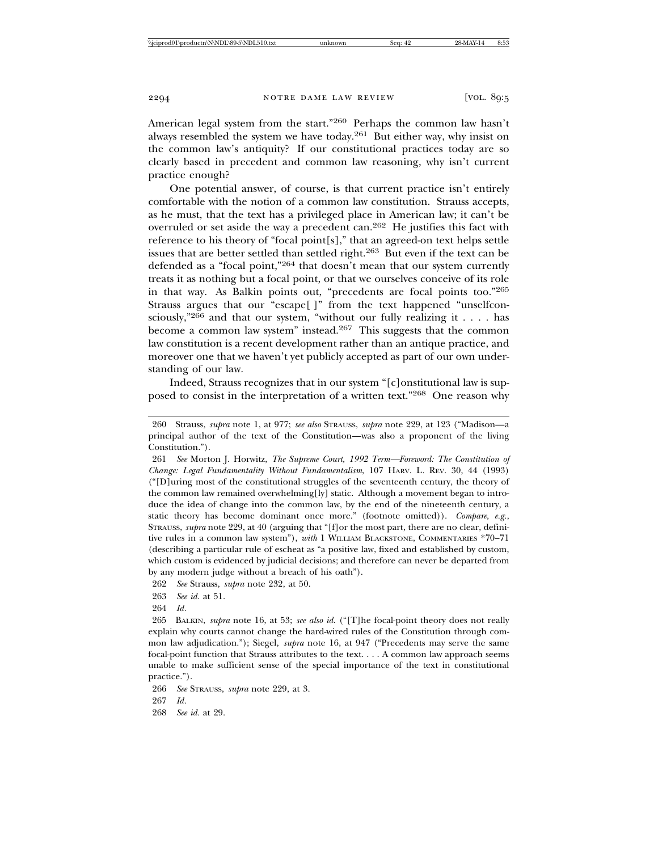American legal system from the start."260 Perhaps the common law hasn't always resembled the system we have today.261 But either way, why insist on the common law's antiquity? If our constitutional practices today are so clearly based in precedent and common law reasoning, why isn't current practice enough?

One potential answer, of course, is that current practice isn't entirely comfortable with the notion of a common law constitution. Strauss accepts, as he must, that the text has a privileged place in American law; it can't be overruled or set aside the way a precedent can.262 He justifies this fact with reference to his theory of "focal point[s]," that an agreed-on text helps settle issues that are better settled than settled right.263 But even if the text can be defended as a "focal point,"264 that doesn't mean that our system currently treats it as nothing but a focal point, or that we ourselves conceive of its role in that way. As Balkin points out, "precedents are focal points too."265 Strauss argues that our "escape<sup>[]"</sup> from the text happened "unselfconsciously,"266 and that our system, "without our fully realizing it . . . . has become a common law system" instead.267 This suggests that the common law constitution is a recent development rather than an antique practice, and moreover one that we haven't yet publicly accepted as part of our own understanding of our law.

Indeed, Strauss recognizes that in our system "[c]onstitutional law is supposed to consist in the interpretation of a written text."268 One reason why

261 *See* Morton J. Horwitz, *The Supreme Court, 1992 Term—Foreword: The Constitution of Change: Legal Fundamentality Without Fundamentalism*, 107 HARV. L. REV. 30, 44 (1993) ("[D]uring most of the constitutional struggles of the seventeenth century, the theory of the common law remained overwhelming[ly] static. Although a movement began to introduce the idea of change into the common law, by the end of the nineteenth century, a static theory has become dominant once more." (footnote omitted)). *Compare, e.g.*, STRAUSS, *supra* note 229, at 40 (arguing that "[f]or the most part, there are no clear, definitive rules in a common law system"), *with* 1 WILLIAM BLACKSTONE, COMMENTARIES \*70–71 (describing a particular rule of escheat as "a positive law, fixed and established by custom, which custom is evidenced by judicial decisions; and therefore can never be departed from by any modern judge without a breach of his oath").

262 *See* Strauss, *supra* note 232, at 50.

263 *See id.* at 51.

264 *Id.*

265 BALKIN, *supra* note 16, at 53; *see also id.* ("[T]he focal-point theory does not really explain why courts cannot change the hard-wired rules of the Constitution through common law adjudication."); Siegel, *supra* note 16, at 947 ("Precedents may serve the same focal-point function that Strauss attributes to the text. . . . A common law approach seems unable to make sufficient sense of the special importance of the text in constitutional practice.").

266 *See* STRAUSS, *supra* note 229, at 3. 267 *Id.*

268 *See id.* at 29.

<sup>260</sup> Strauss, *supra* note 1, at 977; *see also* STRAUSS, *supra* note 229, at 123 ("Madison—a principal author of the text of the Constitution—was also a proponent of the living Constitution.").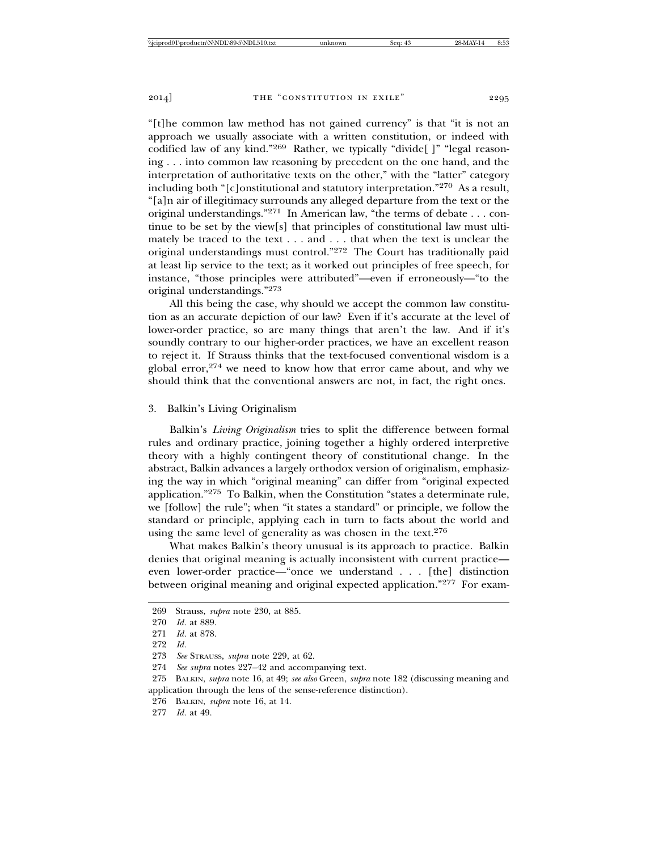"[t]he common law method has not gained currency" is that "it is not an approach we usually associate with a written constitution, or indeed with codified law of any kind."269 Rather, we typically "divide[ ]" "legal reasoning . . . into common law reasoning by precedent on the one hand, and the interpretation of authoritative texts on the other," with the "latter" category including both "[c]onstitutional and statutory interpretation."270 As a result, "[a]n air of illegitimacy surrounds any alleged departure from the text or the original understandings."271 In American law, "the terms of debate . . . continue to be set by the view[s] that principles of constitutional law must ultimately be traced to the text . . . and . . . that when the text is unclear the original understandings must control."272 The Court has traditionally paid at least lip service to the text; as it worked out principles of free speech, for instance, "those principles were attributed"—even if erroneously—"to the original understandings."273

All this being the case, why should we accept the common law constitution as an accurate depiction of our law? Even if it's accurate at the level of lower-order practice, so are many things that aren't the law. And if it's soundly contrary to our higher-order practices, we have an excellent reason to reject it. If Strauss thinks that the text-focused conventional wisdom is a global error, $274$  we need to know how that error came about, and why we should think that the conventional answers are not, in fact, the right ones.

# 3. Balkin's Living Originalism

Balkin's *Living Originalism* tries to split the difference between formal rules and ordinary practice, joining together a highly ordered interpretive theory with a highly contingent theory of constitutional change. In the abstract, Balkin advances a largely orthodox version of originalism, emphasizing the way in which "original meaning" can differ from "original expected application."275 To Balkin, when the Constitution "states a determinate rule, we [follow] the rule"; when "it states a standard" or principle, we follow the standard or principle, applying each in turn to facts about the world and using the same level of generality as was chosen in the text.<sup>276</sup>

What makes Balkin's theory unusual is its approach to practice. Balkin denies that original meaning is actually inconsistent with current practice even lower-order practice—"once we understand . . . [the] distinction between original meaning and original expected application."277 For exam-

<sup>269</sup> Strauss, *supra* note 230, at 885.

<sup>270</sup> *Id.* at 889.

<sup>271</sup> *Id.* at 878.

<sup>272</sup> *Id.*

<sup>273</sup> *See* STRAUSS, *supra* note 229, at 62.

<sup>274</sup> *See supra* notes 227–42 and accompanying text.

<sup>275</sup> BALKIN, *supra* note 16, at 49; *see also* Green, *supra* note 182 (discussing meaning and application through the lens of the sense-reference distinction).

<sup>276</sup> BALKIN, *supra* note 16, at 14.

<sup>277</sup> *Id.* at 49.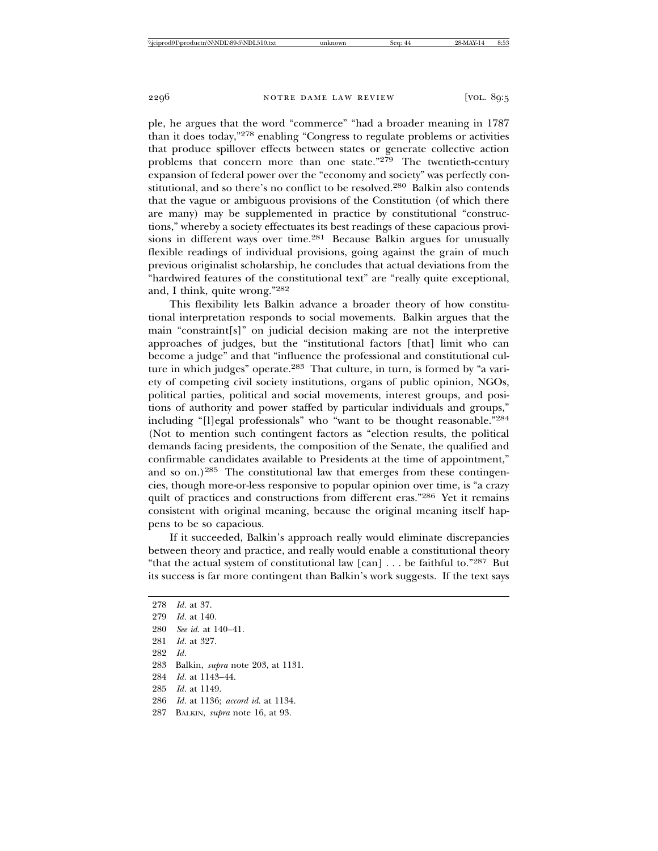ple, he argues that the word "commerce" "had a broader meaning in 1787 than it does today,"278 enabling "Congress to regulate problems or activities that produce spillover effects between states or generate collective action problems that concern more than one state."279 The twentieth-century expansion of federal power over the "economy and society" was perfectly constitutional, and so there's no conflict to be resolved.280 Balkin also contends that the vague or ambiguous provisions of the Constitution (of which there are many) may be supplemented in practice by constitutional "constructions," whereby a society effectuates its best readings of these capacious provisions in different ways over time.<sup>281</sup> Because Balkin argues for unusually flexible readings of individual provisions, going against the grain of much previous originalist scholarship, he concludes that actual deviations from the "hardwired features of the constitutional text" are "really quite exceptional, and, I think, quite wrong."282

This flexibility lets Balkin advance a broader theory of how constitutional interpretation responds to social movements. Balkin argues that the main "constraint[s]" on judicial decision making are not the interpretive approaches of judges, but the "institutional factors [that] limit who can become a judge" and that "influence the professional and constitutional culture in which judges" operate.<sup>283</sup> That culture, in turn, is formed by "a variety of competing civil society institutions, organs of public opinion, NGOs, political parties, political and social movements, interest groups, and positions of authority and power staffed by particular individuals and groups," including "[l]egal professionals" who "want to be thought reasonable."284 (Not to mention such contingent factors as "election results, the political demands facing presidents, the composition of the Senate, the qualified and confirmable candidates available to Presidents at the time of appointment," and so on.)<sup>285</sup> The constitutional law that emerges from these contingencies, though more-or-less responsive to popular opinion over time, is "a crazy quilt of practices and constructions from different eras."286 Yet it remains consistent with original meaning, because the original meaning itself happens to be so capacious.

If it succeeded, Balkin's approach really would eliminate discrepancies between theory and practice, and really would enable a constitutional theory "that the actual system of constitutional law  $[\text{can}] \dots$  be faithful to."287 But its success is far more contingent than Balkin's work suggests. If the text says

 *Id.* at 37. *Id.* at 140. *See id.* at 140–41. *Id.* at 327. 282 *Id.* 283 Balkin, *supra* note 203, at 1131. *Id.* at 1143–44. *Id.* at 1149. *Id.* at 1136; *accord id.* at 1134. 287 BALKIN, *supra* note 16, at 93.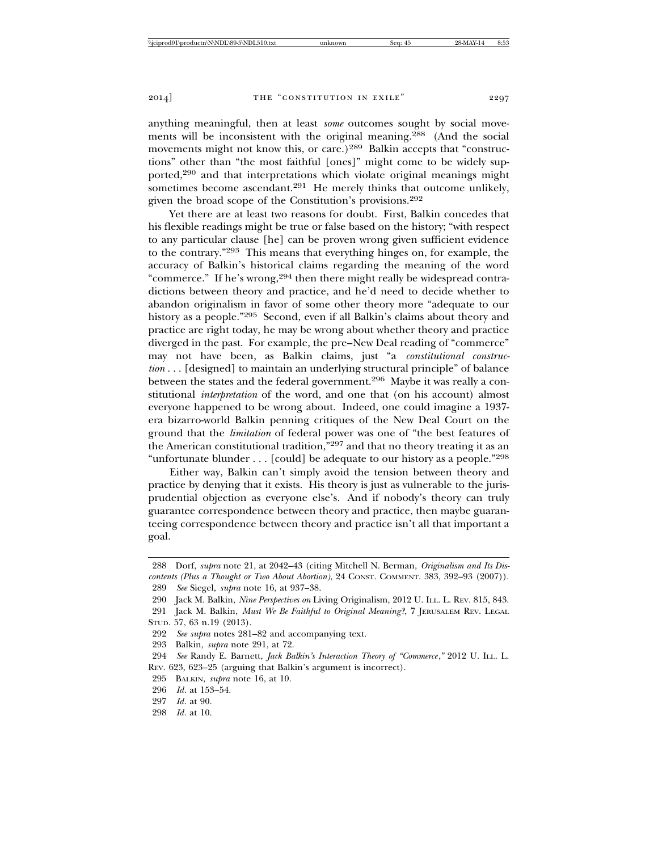anything meaningful, then at least *some* outcomes sought by social movements will be inconsistent with the original meaning.288 (And the social movements might not know this, or care.)<sup>289</sup> Balkin accepts that "constructions" other than "the most faithful [ones]" might come to be widely supported,290 and that interpretations which violate original meanings might sometimes become ascendant.<sup>291</sup> He merely thinks that outcome unlikely, given the broad scope of the Constitution's provisions.292

Yet there are at least two reasons for doubt. First, Balkin concedes that his flexible readings might be true or false based on the history; "with respect to any particular clause [he] can be proven wrong given sufficient evidence to the contrary."293 This means that everything hinges on, for example, the accuracy of Balkin's historical claims regarding the meaning of the word "commerce." If he's wrong,<sup>294</sup> then there might really be widespread contradictions between theory and practice, and he'd need to decide whether to abandon originalism in favor of some other theory more "adequate to our history as a people."295 Second, even if all Balkin's claims about theory and practice are right today, he may be wrong about whether theory and practice diverged in the past. For example, the pre–New Deal reading of "commerce" may not have been, as Balkin claims, just "a *constitutional construction* . . . [designed] to maintain an underlying structural principle" of balance between the states and the federal government.<sup>296</sup> Maybe it was really a constitutional *interpretation* of the word, and one that (on his account) almost everyone happened to be wrong about. Indeed, one could imagine a 1937 era bizarro-world Balkin penning critiques of the New Deal Court on the ground that the *limitation* of federal power was one of "the best features of the American constitutional tradition,"297 and that no theory treating it as an "unfortunate blunder . . . [could] be adequate to our history as a people."298

Either way, Balkin can't simply avoid the tension between theory and practice by denying that it exists. His theory is just as vulnerable to the jurisprudential objection as everyone else's. And if nobody's theory can truly guarantee correspondence between theory and practice, then maybe guaranteeing correspondence between theory and practice isn't all that important a goal.

291 Jack M. Balkin, *Must We Be Faithful to Original Meaning?*, 7 JERUSALEM REV. LEGAL STUD. 57, 63 n.19 (2013).

292 *See supra* notes 281–82 and accompanying text.

293 Balkin, *supra* note 291, at 72.

294 *See* Randy E. Barnett, *Jack Balkin's Interaction Theory of "Commerce*,*"* 2012 U. ILL. L. REV. 623, 623–25 (arguing that Balkin's argument is incorrect).

295 BALKIN, *supra* note 16, at 10.

296 *Id.* at 153–54.

297 *Id.* at 90.

<sup>288</sup> Dorf, *supra* note 21, at 2042–43 (citing Mitchell N. Berman, *Originalism and Its Discontents (Plus a Thought or Two About Abortion)*, 24 CONST. COMMENT. 383, 392–93 (2007)). 289 *See* Siegel, *supra* note 16, at 937–38.

<sup>290</sup> Jack M. Balkin, *Nine Perspectives on* Living Originalism, 2012 U. ILL. L. REV. 815, 843.

<sup>298</sup> *Id.* at 10.